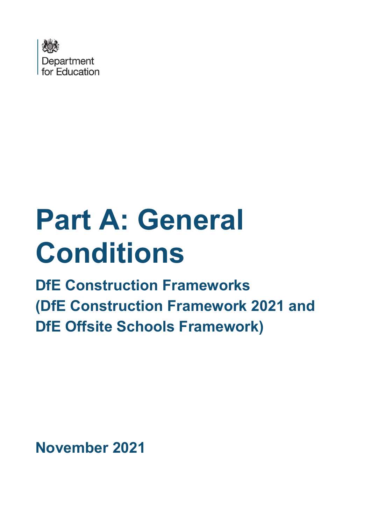

# **Part A: General Conditions**

**DfE Construction Frameworks (DfE Construction Framework 2021 and DfE Offsite Schools Framework)** 

**November 2021**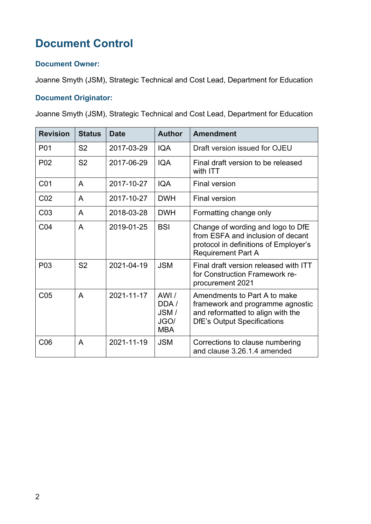# **Document Control**

#### **Document Owner:**

Joanne Smyth (JSM), Strategic Technical and Cost Lead, Department for Education

#### **Document Originator:**

Joanne Smyth (JSM), Strategic Technical and Cost Lead, Department for Education

| <b>Revision</b>  | <b>Status</b>  | <b>Date</b> | <b>Author</b>                              | <b>Amendment</b>                                                                                                                             |
|------------------|----------------|-------------|--------------------------------------------|----------------------------------------------------------------------------------------------------------------------------------------------|
| P <sub>0</sub> 1 | S <sub>2</sub> | 2017-03-29  | <b>IQA</b>                                 | Draft version issued for OJEU                                                                                                                |
| P <sub>0</sub> 2 | S <sub>2</sub> | 2017-06-29  | <b>IQA</b>                                 | Final draft version to be released<br>with ITT                                                                                               |
| C <sub>01</sub>  | A              | 2017-10-27  | <b>IQA</b>                                 | <b>Final version</b>                                                                                                                         |
| CO <sub>2</sub>  | A              | 2017-10-27  | <b>DWH</b>                                 | <b>Final version</b>                                                                                                                         |
| CO <sub>3</sub>  | A              | 2018-03-28  | <b>DWH</b>                                 | Formatting change only                                                                                                                       |
| CO <sub>4</sub>  | A              | 2019-01-25  | <b>BSI</b>                                 | Change of wording and logo to DfE<br>from ESFA and inclusion of decant<br>protocol in definitions of Employer's<br><b>Requirement Part A</b> |
| P <sub>0</sub> 3 | S <sub>2</sub> | 2021-04-19  | <b>JSM</b>                                 | Final draft version released with ITT<br>for Construction Framework re-<br>procurement 2021                                                  |
| C <sub>05</sub>  | A              | 2021-11-17  | AWI/<br>DDA/<br>JSM/<br>JGO/<br><b>MBA</b> | Amendments to Part A to make<br>framework and programme agnostic<br>and reformatted to align with the<br><b>DfE's Output Specifications</b>  |
| C <sub>06</sub>  | A              | 2021-11-19  | <b>JSM</b>                                 | Corrections to clause numbering<br>and clause 3.26.1.4 amended                                                                               |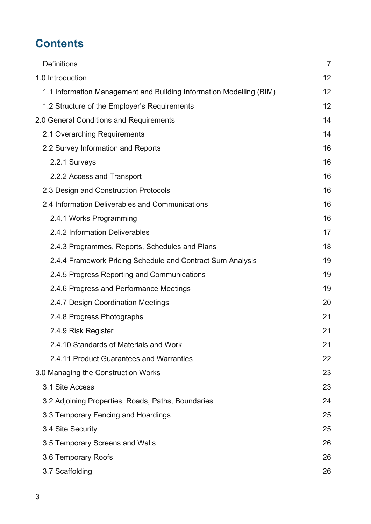# **Contents**

| <b>Definitions</b>                                                  | $\overline{7}$ |
|---------------------------------------------------------------------|----------------|
| 1.0 Introduction                                                    | 12             |
| 1.1 Information Management and Building Information Modelling (BIM) | 12             |
| 1.2 Structure of the Employer's Requirements                        | 12             |
| 2.0 General Conditions and Requirements                             | 14             |
| 2.1 Overarching Requirements                                        | 14             |
| 2.2 Survey Information and Reports                                  | 16             |
| 2.2.1 Surveys                                                       | 16             |
| 2.2.2 Access and Transport                                          | 16             |
| 2.3 Design and Construction Protocols                               | 16             |
| 2.4 Information Deliverables and Communications                     | 16             |
| 2.4.1 Works Programming                                             | 16             |
| 2.4.2 Information Deliverables                                      | 17             |
| 2.4.3 Programmes, Reports, Schedules and Plans                      | 18             |
| 2.4.4 Framework Pricing Schedule and Contract Sum Analysis          | 19             |
| 2.4.5 Progress Reporting and Communications                         | 19             |
| 2.4.6 Progress and Performance Meetings                             | 19             |
| 2.4.7 Design Coordination Meetings                                  | 20             |
| 2.4.8 Progress Photographs                                          | 21             |
| 2.4.9 Risk Register                                                 | 21             |
| 2.4.10 Standards of Materials and Work                              | 21             |
| 2.4.11 Product Guarantees and Warranties                            | 22             |
| 3.0 Managing the Construction Works                                 | 23             |
| 3.1 Site Access                                                     | 23             |
| 3.2 Adjoining Properties, Roads, Paths, Boundaries                  | 24             |
| 3.3 Temporary Fencing and Hoardings                                 | 25             |
| 3.4 Site Security                                                   | 25             |
| 3.5 Temporary Screens and Walls                                     | 26             |
| 3.6 Temporary Roofs                                                 | 26             |
| 3.7 Scaffolding                                                     | 26             |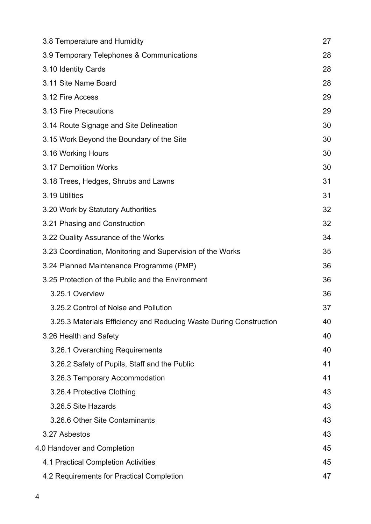| 3.8 Temperature and Humidity                                       | 27 |
|--------------------------------------------------------------------|----|
| 3.9 Temporary Telephones & Communications                          | 28 |
| 3.10 Identity Cards                                                | 28 |
| 3.11 Site Name Board                                               | 28 |
| 3.12 Fire Access                                                   | 29 |
| 3.13 Fire Precautions                                              | 29 |
| 3.14 Route Signage and Site Delineation                            | 30 |
| 3.15 Work Beyond the Boundary of the Site                          | 30 |
| 3.16 Working Hours                                                 | 30 |
| 3.17 Demolition Works                                              | 30 |
| 3.18 Trees, Hedges, Shrubs and Lawns                               | 31 |
| 3.19 Utilities                                                     | 31 |
| 3.20 Work by Statutory Authorities                                 | 32 |
| 3.21 Phasing and Construction                                      | 32 |
| 3.22 Quality Assurance of the Works                                | 34 |
| 3.23 Coordination, Monitoring and Supervision of the Works         | 35 |
| 3.24 Planned Maintenance Programme (PMP)                           | 36 |
| 3.25 Protection of the Public and the Environment                  | 36 |
| 3.25.1 Overview                                                    | 36 |
| 3.25.2 Control of Noise and Pollution                              | 37 |
| 3.25.3 Materials Efficiency and Reducing Waste During Construction | 40 |
| 3.26 Health and Safety                                             | 40 |
| 3.26.1 Overarching Requirements                                    | 40 |
| 3.26.2 Safety of Pupils, Staff and the Public                      | 41 |
| 3.26.3 Temporary Accommodation                                     | 41 |
| 3.26.4 Protective Clothing                                         | 43 |
| 3.26.5 Site Hazards                                                | 43 |
| 3.26.6 Other Site Contaminants                                     | 43 |
| 3.27 Asbestos                                                      | 43 |
| 4.0 Handover and Completion                                        | 45 |
| 4.1 Practical Completion Activities                                | 45 |
| 4.2 Requirements for Practical Completion                          | 47 |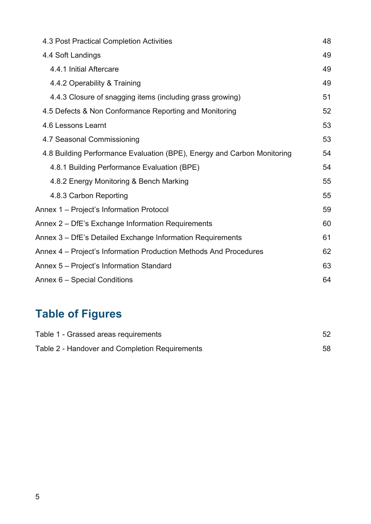| 4.3 Post Practical Completion Activities                                | 48 |
|-------------------------------------------------------------------------|----|
| 4.4 Soft Landings                                                       | 49 |
| 4.4.1 Initial Aftercare                                                 | 49 |
| 4.4.2 Operability & Training                                            | 49 |
| 4.4.3 Closure of snagging items (including grass growing)               | 51 |
| 4.5 Defects & Non Conformance Reporting and Monitoring                  | 52 |
| 4.6 Lessons Learnt                                                      | 53 |
| 4.7 Seasonal Commissioning                                              | 53 |
| 4.8 Building Performance Evaluation (BPE), Energy and Carbon Monitoring | 54 |
| 4.8.1 Building Performance Evaluation (BPE)                             | 54 |
| 4.8.2 Energy Monitoring & Bench Marking                                 | 55 |
| 4.8.3 Carbon Reporting                                                  | 55 |
| Annex 1 - Project's Information Protocol                                | 59 |
| Annex 2 – DfE's Exchange Information Requirements                       | 60 |
| Annex 3 – DfE's Detailed Exchange Information Requirements              | 61 |
| Annex 4 - Project's Information Production Methods And Procedures       | 62 |
| Annex 5 – Project's Information Standard                                | 63 |
| Annex 6 – Special Conditions                                            | 64 |

# **Table of Figures**

| Table 1 - Grassed areas requirements           |    |
|------------------------------------------------|----|
| Table 2 - Handover and Completion Requirements | 58 |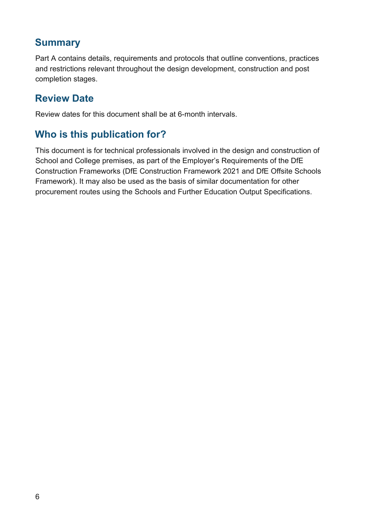#### **Summary**

Part A contains details, requirements and protocols that outline conventions, practices and restrictions relevant throughout the design development, construction and post completion stages.

#### **Review Date**

Review dates for this document shall be at 6-month intervals.

## **Who is this publication for?**

This document is for technical professionals involved in the design and construction of School and College premises, as part of the Employer's Requirements of the DfE Construction Frameworks (DfE Construction Framework 2021 and DfE Offsite Schools Framework). It may also be used as the basis of similar documentation for other procurement routes using the Schools and Further Education Output Specifications.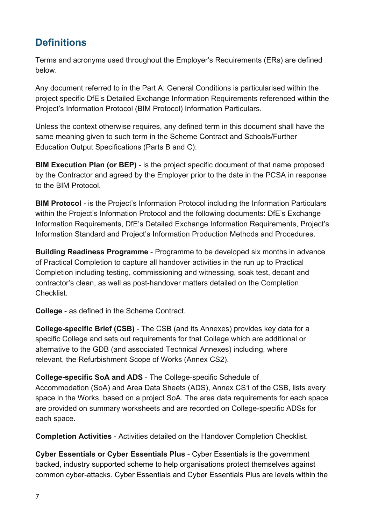## <span id="page-6-0"></span>**Definitions**

Terms and acronyms used throughout the Employer's Requirements (ERs) are defined below.

Any document referred to in the Part A: General Conditions is particularised within the project specific DfE's Detailed Exchange Information Requirements referenced within the Project's Information Protocol (BIM Protocol) Information Particulars.

Unless the context otherwise requires, any defined term in this document shall have the same meaning given to such term in the Scheme Contract and Schools/Further Education Output Specifications (Parts B and C):

**BIM Execution Plan (or BEP)** - is the project specific document of that name proposed by the Contractor and agreed by the Employer prior to the date in the PCSA in response to the BIM Protocol.

**BIM Protocol - is the Project's Information Protocol including the Information Particulars** within the Project's Information Protocol and the following documents: DfE's Exchange Information Requirements, DfE's Detailed Exchange Information Requirements, Project's Information Standard and Project's Information Production Methods and Procedures.

**Building Readiness Programme** - Programme to be developed six months in advance of Practical Completion to capture all handover activities in the run up to Practical Completion including testing, commissioning and witnessing, soak test, decant and contractor's clean, as well as post-handover matters detailed on the Completion Checklist.

**College** - as defined in the Scheme Contract.

**College-specific Brief (CSB)** - The CSB (and its Annexes) provides key data for a specific College and sets out requirements for that College which are additional or alternative to the GDB (and associated Technical Annexes) including, where relevant, the Refurbishment Scope of Works (Annex CS2).

**College-specific SoA and ADS** - The College-specific Schedule of Accommodation (SoA) and Area Data Sheets (ADS), Annex CS1 of the CSB, lists every space in the Works, based on a project SoA. The area data requirements for each space are provided on summary worksheets and are recorded on College-specific ADSs for each space.

**Completion Activities** - Activities detailed on the Handover Completion Checklist.

**Cyber Essentials or Cyber Essentials Plus** - Cyber Essentials is the government backed, industry supported scheme to help organisations protect themselves against common cyber-attacks. Cyber Essentials and Cyber Essentials Plus are levels within the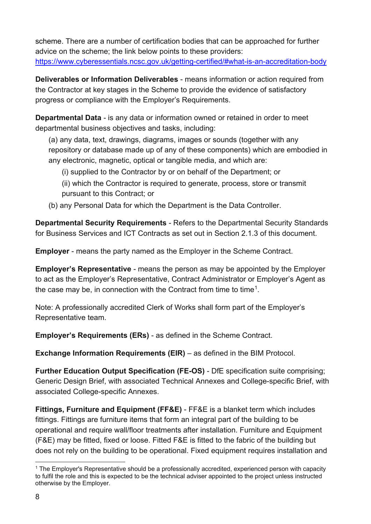scheme. There are a number of certification bodies that can be approached for further advice on the scheme; the link below points to these providers: <https://www.cyberessentials.ncsc.gov.uk/getting-certified/#what-is-an-accreditation-body>

**Deliverables or Information Deliverables** - means information or action required from the Contractor at key stages in the Scheme to provide the evidence of satisfactory progress or compliance with the Employer's Requirements.

**Departmental Data** - is any data or information owned or retained in order to meet departmental business objectives and tasks, including:

(a) any data, text, drawings, diagrams, images or sounds (together with any repository or database made up of any of these components) which are embodied in any electronic, magnetic, optical or tangible media, and which are:

- (i) supplied to the Contractor by or on behalf of the Department; or
- (ii) which the Contractor is required to generate, process, store or transmit pursuant to this Contract; or
- (b) any Personal Data for which the Department is the Data Controller.

**Departmental Security Requirements** - Refers to the Departmental Security Standards for Business Services and ICT Contracts as set out in Section 2.1.3 of this document.

**Employer** - means the party named as the Employer in the Scheme Contract.

**Employer's Representative** - means the person as may be appointed by the Employer to act as the Employer's Representative, Contract Administrator or Employer's Agent as the case may be, in connection with the Contract from time to time<sup>[1](#page-7-0)</sup>.

Note: A professionally accredited Clerk of Works shall form part of the Employer's Representative team.

**Employer's Requirements (ERs)** - as defined in the Scheme Contract.

**Exchange Information Requirements (EIR)** – as defined in the BIM Protocol.

**Further Education Output Specification (FE-OS)** - DfE specification suite comprising; Generic Design Brief, with associated Technical Annexes and College-specific Brief, with associated College-specific Annexes.

**Fittings, Furniture and Equipment (FF&E)** - FF&E is a blanket term which includes fittings. Fittings are furniture items that form an integral part of the building to be operational and require wall/floor treatments after installation. Furniture and Equipment (F&E) may be fitted, fixed or loose. Fitted F&E is fitted to the fabric of the building but does not rely on the building to be operational. Fixed equipment requires installation and

<span id="page-7-0"></span> $1$  The Employer's Representative should be a professionally accredited, experienced person with capacity to fulfil the role and this is expected to be the technical adviser appointed to the project unless instructed otherwise by the Employer.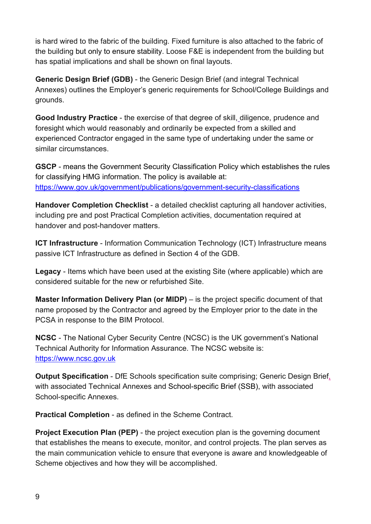is hard wired to the fabric of the building. Fixed furniture is also attached to the fabric of the building but only to ensure stability. Loose F&E is independent from the building but has spatial implications and shall be shown on final layouts.

**Generic Design Brief (GDB)** - the Generic Design Brief (and integral Technical Annexes) outlines the Employer's generic requirements for School/College Buildings and grounds.

**Good Industry Practice** - the exercise of that degree of skill, diligence, prudence and foresight which would reasonably and ordinarily be expected from a skilled and experienced Contractor engaged in the same type of undertaking under the same or similar circumstances.

**GSCP** - means the Government Security Classification Policy which establishes the rules for classifying HMG information. The policy is available at: <https://www.gov.uk/government/publications/government-security-classifications>

**Handover Completion Checklist** - a detailed checklist capturing all handover activities, including pre and post Practical Completion activities, documentation required at handover and post-handover matters.

**ICT Infrastructure** - Information Communication Technology (ICT) Infrastructure means passive ICT Infrastructure as defined in Section 4 of the GDB.

**Legacy** - Items which have been used at the existing Site (where applicable) which are considered suitable for the new or refurbished Site.

**Master Information Delivery Plan (or MIDP)** – is the project specific document of that name proposed by the Contractor and agreed by the Employer prior to the date in the PCSA in response to the BIM Protocol.

**NCSC** - The National Cyber Security Centre (NCSC) is the UK government's National Technical Authority for Information Assurance. The NCSC website is: [https://www.ncsc.gov.uk](https://www.ncsc.gov.uk/)

**Output Specification** - DfE Schools specification suite comprising; Generic Design Brief, with associated Technical Annexes and School-specific Brief (SSB), with associated School-specific Annexes.

**Practical Completion** - as defined in the Scheme Contract.

**Project Execution Plan (PEP)** - the project execution plan is the governing document that establishes the means to execute, monitor, and control projects. The plan serves as the main communication vehicle to ensure that everyone is aware and knowledgeable of Scheme objectives and how they will be accomplished.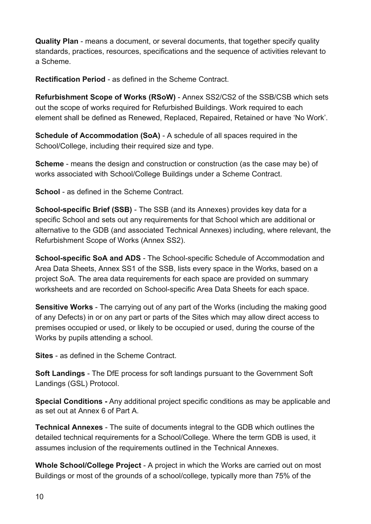**Quality Plan** - means a document, or several documents, that together specify quality standards, practices, resources, specifications and the sequence of activities relevant to a Scheme.

**Rectification Period** - as defined in the Scheme Contract.

**Refurbishment Scope of Works (RSoW)** - Annex SS2/CS2 of the SSB/CSB which sets out the scope of works required for Refurbished Buildings. Work required to each element shall be defined as Renewed, Replaced, Repaired, Retained or have 'No Work'.

**Schedule of Accommodation (SoA)** - A schedule of all spaces required in the School/College, including their required size and type.

**Scheme** - means the design and construction or construction (as the case may be) of works associated with School/College Buildings under a Scheme Contract.

**School** - as defined in the Scheme Contract.

**School-specific Brief (SSB)** - The SSB (and its Annexes) provides key data for a specific School and sets out any requirements for that School which are additional or alternative to the GDB (and associated Technical Annexes) including, where relevant, the Refurbishment Scope of Works (Annex SS2).

**School-specific SoA and ADS** - The School-specific Schedule of Accommodation and Area Data Sheets, Annex SS1 of the SSB, lists every space in the Works, based on a project SoA. The area data requirements for each space are provided on summary worksheets and are recorded on School-specific Area Data Sheets for each space.

**Sensitive Works** - The carrying out of any part of the Works (including the making good of any Defects) in or on any part or parts of the Sites which may allow direct access to premises occupied or used, or likely to be occupied or used, during the course of the Works by pupils attending a school.

**Sites** - as defined in the Scheme Contract.

**Soft Landings** - The DfE process for soft landings pursuant to the Government Soft Landings (GSL) Protocol.

**Special Conditions -** Any additional project specific conditions as may be applicable and as set out at Annex 6 of Part A.

**Technical Annexes** - The suite of documents integral to the GDB which outlines the detailed technical requirements for a School/College. Where the term GDB is used, it assumes inclusion of the requirements outlined in the Technical Annexes.

**Whole School/College Project** - A project in which the Works are carried out on most Buildings or most of the grounds of a school/college, typically more than 75% of the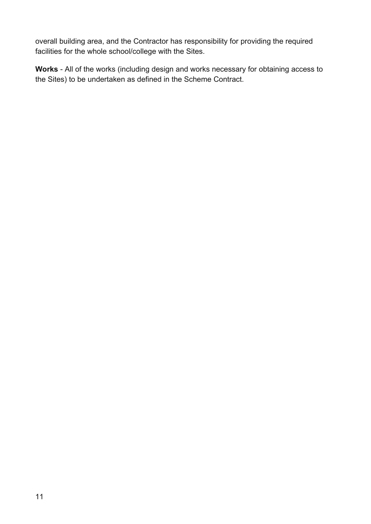overall building area, and the Contractor has responsibility for providing the required facilities for the whole school/college with the Sites.

**Works** - All of the works (including design and works necessary for obtaining access to the Sites) to be undertaken as defined in the Scheme Contract.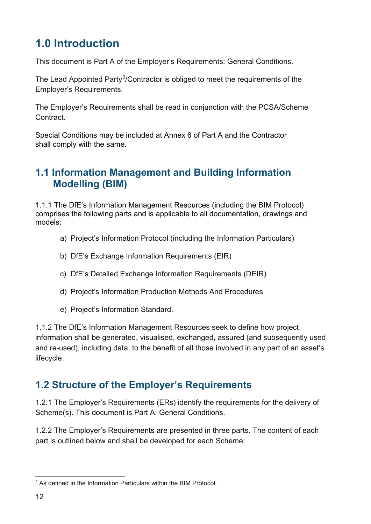# <span id="page-11-0"></span>**1.0 Introduction**

This document is Part A of the Employer's Requirements: General Conditions.

The Lead Appointed Party<sup>[2](#page-11-3)</sup>/Contractor is obliged to meet the requirements of the Employer's Requirements.

The Employer's Requirements shall be read in conjunction with the PCSA/Scheme Contract.

Special Conditions may be included at Annex 6 of Part A and the Contractor shall comply with the same.

## <span id="page-11-1"></span>**1.1 Information Management and Building Information Modelling (BIM)**

1.1.1 The DfE's Information Management Resources (including the BIM Protocol) comprises the following parts and is applicable to all documentation, drawings and models:

- a) Project's Information Protocol (including the Information Particulars)
- b) DfE's Exchange Information Requirements (EIR)
- c) DfE's Detailed Exchange Information Requirements (DEIR)
- d) Project's Information Production Methods And Procedures
- e) Project's Information Standard.

1.1.2 The DfE's Information Management Resources seek to define how project information shall be generated, visualised, exchanged, assured (and subsequently used and re-used), including data, to the benefit of all those involved in any part of an asset's lifecycle.

#### <span id="page-11-2"></span>**1.2 Structure of the Employer's Requirements**

1.2.1 The Employer's Requirements (ERs) identify the requirements for the delivery of Scheme(s). This document is Part A: General Conditions.

1.2.2 The Employer's Requirements are presented in three parts. The content of each part is outlined below and shall be developed for each Scheme:

<span id="page-11-3"></span><sup>&</sup>lt;sup>2</sup> As defined in the Information Particulars within the BIM Protocol.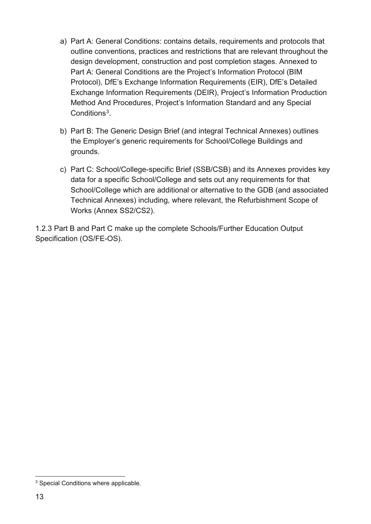- a) Part A: General Conditions: contains details, requirements and protocols that outline conventions, practices and restrictions that are relevant throughout the design development, construction and post completion stages. Annexed to Part A: General Conditions are the Project's Information Protocol (BIM Protocol), DfE's Exchange Information Requirements (EIR), DfE's Detailed Exchange Information Requirements (DEIR), Project's Information Production Method And Procedures, Project's Information Standard and any Special Conditions<sup>[3](#page-12-0)</sup>
- b) Part B: The Generic Design Brief (and integral Technical Annexes) outlines the Employer's generic requirements for School/College Buildings and grounds.
- c) Part C: School/College-specific Brief (SSB/CSB) and its Annexes provides key data for a specific School/College and sets out any requirements for that School/College which are additional or alternative to the GDB (and associated Technical Annexes) including, where relevant, the Refurbishment Scope of Works (Annex SS2/CS2).

1.2.3 Part B and Part C make up the complete Schools/Further Education Output Specification (OS/FE-OS).

<span id="page-12-0"></span><sup>3</sup> Special Conditions where applicable.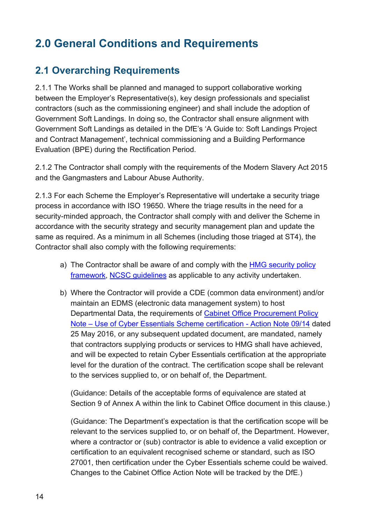# <span id="page-13-0"></span>**2.0 General Conditions and Requirements**

## <span id="page-13-1"></span>**2.1 Overarching Requirements**

2.1.1 The Works shall be planned and managed to support collaborative working between the Employer's Representative(s), key design professionals and specialist contractors (such as the commissioning engineer) and shall include the adoption of Government Soft Landings. In doing so, the Contractor shall ensure alignment with Government Soft Landings as detailed in the DfE's 'A Guide to: Soft Landings Project and Contract Management', technical commissioning and a Building Performance Evaluation (BPE) during the Rectification Period.

2.1.2 The Contractor shall comply with the requirements of the Modern Slavery Act 2015 and the Gangmasters and Labour Abuse Authority.

2.1.3 For each Scheme the Employer's Representative will undertake a security triage process in accordance with ISO 19650. Where the triage results in the need for a security-minded approach, the Contractor shall comply with and deliver the Scheme in accordance with the security strategy and security management plan and update the same as required. As a minimum in all Schemes (including those triaged at ST4), the Contractor shall also comply with the following requirements:

- a) The Contractor shall be aware of and comply with the [HMG security policy](https://www.gov.uk/government/publications/security-policy-framework)  [framework,](https://www.gov.uk/government/publications/security-policy-framework) [NCSC guidelines](https://www.ncsc.gov.uk/section/advice-guidance/all-topics) as applicable to any activity undertaken.
- b) Where the Contractor will provide a CDE (common data environment) and/or maintain an EDMS (electronic data management system) to host Departmental Data, the requirements of [Cabinet Office Procurement Policy](https://www.gov.uk/government/publications/procurement-policy-note-0914-cyber-essentials-scheme-certification)  [Note – Use of Cyber Essentials Scheme certification](https://www.gov.uk/government/publications/procurement-policy-note-0914-cyber-essentials-scheme-certification) - [Action Note 09/14](https://www.gov.uk/government/publications/procurement-policy-note-0914-cyber-essentials-scheme-certification) dated 25 May 2016, or any subsequent updated document, are mandated, namely that contractors supplying products or services to HMG shall have achieved, and will be expected to retain Cyber Essentials certification at the appropriate level for the duration of the contract. The certification scope shall be relevant to the services supplied to, or on behalf of, the Department.

(Guidance: Details of the acceptable forms of equivalence are stated at Section 9 of Annex A within the link to Cabinet Office document in this clause.)

(Guidance: The Department's expectation is that the certification scope will be relevant to the services supplied to, or on behalf of, the Department. However, where a contractor or (sub) contractor is able to evidence a valid exception or certification to an equivalent recognised scheme or standard, such as ISO 27001, then certification under the Cyber Essentials scheme could be waived. Changes to the Cabinet Office Action Note will be tracked by the DfE.)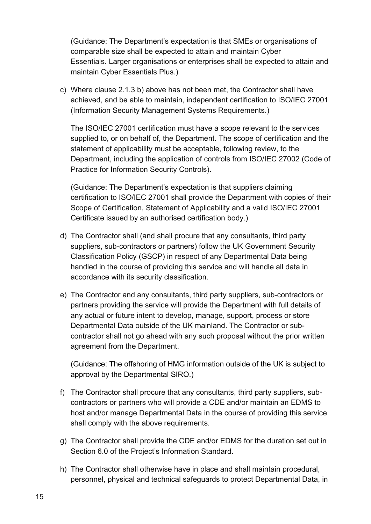(Guidance: The Department's expectation is that SMEs or organisations of comparable size shall be expected to attain and maintain Cyber Essentials. Larger organisations or enterprises shall be expected to attain and maintain Cyber Essentials Plus.)

c) Where clause 2.1.3 b) above has not been met, the Contractor shall have achieved, and be able to maintain, independent certification to ISO/IEC 27001 (Information Security Management Systems Requirements.)

The ISO/IEC 27001 certification must have a scope relevant to the services supplied to, or on behalf of, the Department. The scope of certification and the statement of applicability must be acceptable, following review, to the Department, including the application of controls from ISO/IEC 27002 (Code of Practice for Information Security Controls).

(Guidance: The Department's expectation is that suppliers claiming certification to ISO/IEC 27001 shall provide the Department with copies of their Scope of Certification, Statement of Applicability and a valid ISO/IEC 27001 Certificate issued by an authorised certification body.)

- d) The Contractor shall (and shall procure that any consultants, third party suppliers, sub-contractors or partners) follow the UK Government Security Classification Policy (GSCP) in respect of any Departmental Data being handled in the course of providing this service and will handle all data in accordance with its security classification.
- e) The Contractor and any consultants, third party suppliers, sub-contractors or partners providing the service will provide the Department with full details of any actual or future intent to develop, manage, support, process or store Departmental Data outside of the UK mainland. The Contractor or subcontractor shall not go ahead with any such proposal without the prior written agreement from the Department.

(Guidance: The offshoring of HMG information outside of the UK is subject to approval by the Departmental SIRO.)

- f) The Contractor shall procure that any consultants, third party suppliers, subcontractors or partners who will provide a CDE and/or maintain an EDMS to host and/or manage Departmental Data in the course of providing this service shall comply with the above requirements.
- g) The Contractor shall provide the CDE and/or EDMS for the duration set out in Section 6.0 of the Project's Information Standard.
- h) The Contractor shall otherwise have in place and shall maintain procedural, personnel, physical and technical safeguards to protect Departmental Data, in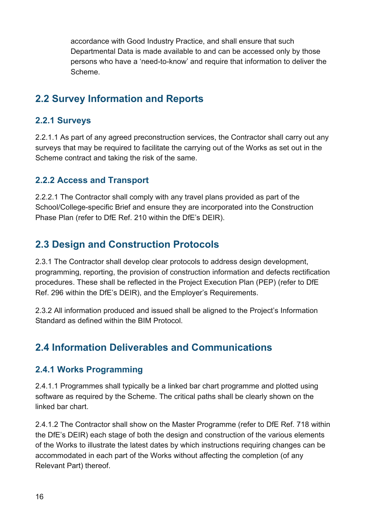accordance with Good Industry Practice, and shall ensure that such Departmental Data is made available to and can be accessed only by those persons who have a 'need-to-know' and require that information to deliver the Scheme.

## <span id="page-15-0"></span>**2.2 Survey Information and Reports**

#### <span id="page-15-1"></span>**2.2.1 Surveys**

2.2.1.1 As part of any agreed preconstruction services, the Contractor shall carry out any surveys that may be required to facilitate the carrying out of the Works as set out in the Scheme contract and taking the risk of the same.

#### <span id="page-15-2"></span>**2.2.2 Access and Transport**

2.2.2.1 The Contractor shall comply with any travel plans provided as part of the School/College-specific Brief and ensure they are incorporated into the Construction Phase Plan (refer to DfE Ref. 210 within the DfE's DEIR).

## <span id="page-15-3"></span>**2.3 Design and Construction Protocols**

2.3.1 The Contractor shall develop clear protocols to address design development, programming, reporting, the provision of construction information and defects rectification procedures. These shall be reflected in the Project Execution Plan (PEP) (refer to DfE Ref. 296 within the DfE's DEIR), and the Employer's Requirements.

2.3.2 All information produced and issued shall be aligned to the Project's Information Standard as defined within the BIM Protocol.

## <span id="page-15-4"></span>**2.4 Information Deliverables and Communications**

#### <span id="page-15-5"></span>**2.4.1 Works Programming**

2.4.1.1 Programmes shall typically be a linked bar chart programme and plotted using software as required by the Scheme. The critical paths shall be clearly shown on the linked bar chart.

2.4.1.2 The Contractor shall show on the Master Programme (refer to DfE Ref. 718 within the DfE's DEIR) each stage of both the design and construction of the various elements of the Works to illustrate the latest dates by which instructions requiring changes can be accommodated in each part of the Works without affecting the completion (of any Relevant Part) thereof.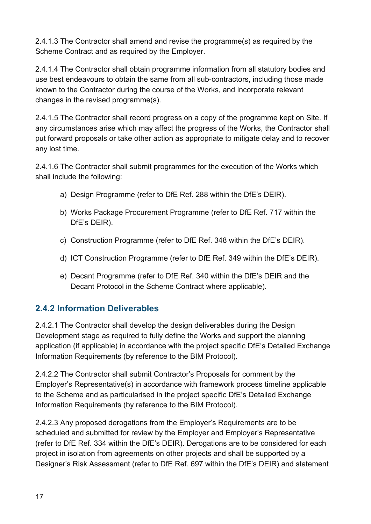2.4.1.3 The Contractor shall amend and revise the programme(s) as required by the Scheme Contract and as required by the Employer.

2.4.1.4 The Contractor shall obtain programme information from all statutory bodies and use best endeavours to obtain the same from all sub-contractors, including those made known to the Contractor during the course of the Works, and incorporate relevant changes in the revised programme(s).

2.4.1.5 The Contractor shall record progress on a copy of the programme kept on Site. If any circumstances arise which may affect the progress of the Works, the Contractor shall put forward proposals or take other action as appropriate to mitigate delay and to recover any lost time.

2.4.1.6 The Contractor shall submit programmes for the execution of the Works which shall include the following:

- a) Design Programme (refer to DfE Ref. 288 within the DfE's DEIR).
- b) Works Package Procurement Programme (refer to DfE Ref. 717 within the DfE's DEIR).
- c) Construction Programme (refer to DfE Ref. 348 within the DfE's DEIR).
- d) ICT Construction Programme (refer to DfE Ref. 349 within the DfE's DEIR).
- e) Decant Programme (refer to DfE Ref. 340 within the DfE's DEIR and the Decant Protocol in the Scheme Contract where applicable).

#### <span id="page-16-0"></span>**2.4.2 Information Deliverables**

2.4.2.1 The Contractor shall develop the design deliverables during the Design Development stage as required to fully define the Works and support the planning application (if applicable) in accordance with the project specific DfE's Detailed Exchange Information Requirements (by reference to the BIM Protocol).

2.4.2.2 The Contractor shall submit Contractor's Proposals for comment by the Employer's Representative(s) in accordance with framework process timeline applicable to the Scheme and as particularised in the project specific DfE's Detailed Exchange Information Requirements (by reference to the BIM Protocol).

2.4.2.3 Any proposed derogations from the Employer's Requirements are to be scheduled and submitted for review by the Employer and Employer's Representative (refer to DfE Ref. 334 within the DfE's DEIR). Derogations are to be considered for each project in isolation from agreements on other projects and shall be supported by a Designer's Risk Assessment (refer to DfE Ref. 697 within the DfE's DEIR) and statement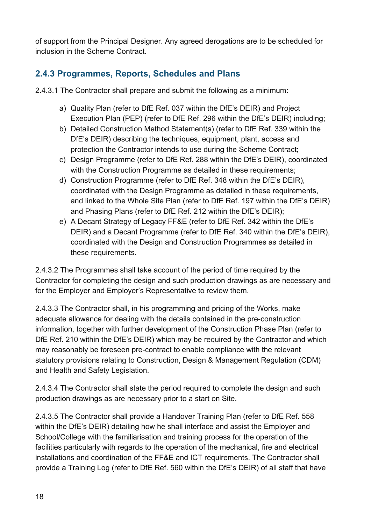of support from the Principal Designer. Any agreed derogations are to be scheduled for inclusion in the Scheme Contract.

#### <span id="page-17-0"></span>**2.4.3 Programmes, Reports, Schedules and Plans**

2.4.3.1 The Contractor shall prepare and submit the following as a minimum:

- a) Quality Plan (refer to DfE Ref. 037 within the DfE's DEIR) and Project Execution Plan (PEP) (refer to DfE Ref. 296 within the DfE's DEIR) including;
- b) Detailed Construction Method Statement(s) (refer to DfE Ref. 339 within the DfE's DEIR) describing the techniques, equipment, plant, access and protection the Contractor intends to use during the Scheme Contract;
- c) Design Programme (refer to DfE Ref. 288 within the DfE's DEIR), coordinated with the Construction Programme as detailed in these requirements;
- d) Construction Programme (refer to DfE Ref. 348 within the DfE's DEIR), coordinated with the Design Programme as detailed in these requirements, and linked to the Whole Site Plan (refer to DfE Ref. 197 within the DfE's DEIR) and Phasing Plans (refer to DfE Ref. 212 within the DfE's DEIR);
- e) A Decant Strategy of Legacy FF&E (refer to DfE Ref. 342 within the DfE's DEIR) and a Decant Programme (refer to DfE Ref. 340 within the DfE's DEIR), coordinated with the Design and Construction Programmes as detailed in these requirements.

2.4.3.2 The Programmes shall take account of the period of time required by the Contractor for completing the design and such production drawings as are necessary and for the Employer and Employer's Representative to review them.

2.4.3.3 The Contractor shall, in his programming and pricing of the Works, make adequate allowance for dealing with the details contained in the pre-construction information, together with further development of the Construction Phase Plan (refer to DfE Ref. 210 within the DfE's DEIR) which may be required by the Contractor and which may reasonably be foreseen pre-contract to enable compliance with the relevant statutory provisions relating to Construction, Design & Management Regulation (CDM) and Health and Safety Legislation.

2.4.3.4 The Contractor shall state the period required to complete the design and such production drawings as are necessary prior to a start on Site.

2.4.3.5 The Contractor shall provide a Handover Training Plan (refer to DfE Ref. 558 within the DfE's DEIR) detailing how he shall interface and assist the Employer and School/College with the familiarisation and training process for the operation of the facilities particularly with regards to the operation of the mechanical, fire and electrical installations and coordination of the FF&E and ICT requirements. The Contractor shall provide a Training Log (refer to DfE Ref. 560 within the DfE's DEIR) of all staff that have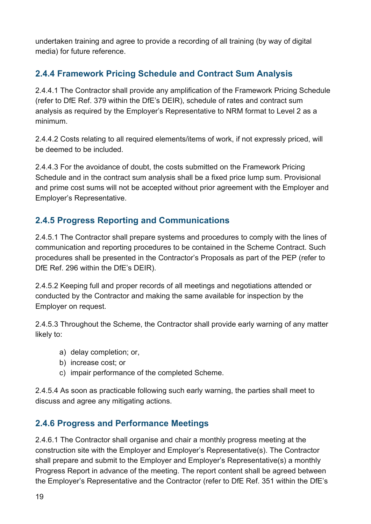undertaken training and agree to provide a recording of all training (by way of digital media) for future reference.

#### <span id="page-18-0"></span>**2.4.4 Framework Pricing Schedule and Contract Sum Analysis**

2.4.4.1 The Contractor shall provide any amplification of the Framework Pricing Schedule (refer to DfE Ref. 379 within the DfE's DEIR), schedule of rates and contract sum analysis as required by the Employer's Representative to NRM format to Level 2 as a minimum.

2.4.4.2 Costs relating to all required elements/items of work, if not expressly priced, will be deemed to be included.

2.4.4.3 For the avoidance of doubt, the costs submitted on the Framework Pricing Schedule and in the contract sum analysis shall be a fixed price lump sum. Provisional and prime cost sums will not be accepted without prior agreement with the Employer and Employer's Representative.

#### <span id="page-18-1"></span>**2.4.5 Progress Reporting and Communications**

2.4.5.1 The Contractor shall prepare systems and procedures to comply with the lines of communication and reporting procedures to be contained in the Scheme Contract. Such procedures shall be presented in the Contractor's Proposals as part of the PEP (refer to DfE Ref. 296 within the DfE's DEIR).

2.4.5.2 Keeping full and proper records of all meetings and negotiations attended or conducted by the Contractor and making the same available for inspection by the Employer on request.

2.4.5.3 Throughout the Scheme, the Contractor shall provide early warning of any matter likely to:

- a) delay completion; or,
- b) increase cost; or
- c) impair performance of the completed Scheme.

2.4.5.4 As soon as practicable following such early warning, the parties shall meet to discuss and agree any mitigating actions.

#### <span id="page-18-2"></span>**2.4.6 Progress and Performance Meetings**

2.4.6.1 The Contractor shall organise and chair a monthly progress meeting at the construction site with the Employer and Employer's Representative(s). The Contractor shall prepare and submit to the Employer and Employer's Representative(s) a monthly Progress Report in advance of the meeting. The report content shall be agreed between the Employer's Representative and the Contractor (refer to DfE Ref. 351 within the DfE's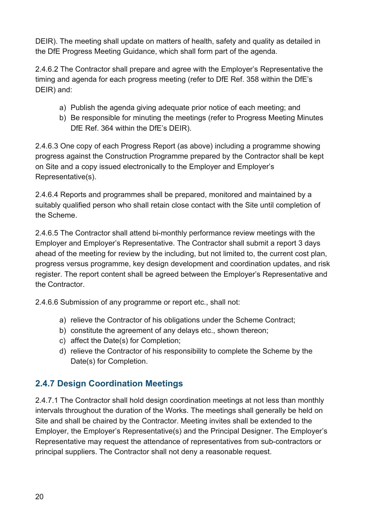DEIR). The meeting shall update on matters of health, safety and quality as detailed in the DfE Progress Meeting [Guidance,](https://educationgovuk.sharepoint.com/sites/lvedfe00130/WorkplaceDocuments/Central%20Operations%20Support%20Group/Technical%20standards/Project%20Progress%20Meetings%20Guidance.pdf) which shall form part of the agenda.

2.4.6.2 The Contractor shall prepare and agree with the Employer's Representative the timing and agenda for each progress meeting (refer to DfE Ref. 358 within the DfE's DEIR) and:

- a) Publish the agenda giving adequate prior notice of each meeting; and
- b) Be responsible for minuting the meetings (refer to Progress Meeting Minutes DfE Ref. 364 within the DfE's DEIR).

2.4.6.3 One copy of each Progress Report (as above) including a programme showing progress against the Construction Programme prepared by the Contractor shall be kept on Site and a copy issued electronically to the Employer and Employer's Representative(s).

2.4.6.4 Reports and programmes shall be prepared, monitored and maintained by a suitably qualified person who shall retain close contact with the Site until completion of the Scheme.

2.4.6.5 The Contractor shall attend bi-monthly performance review meetings with the Employer and Employer's Representative. The Contractor shall submit a report 3 days ahead of the meeting for review by the including, but not limited to, the current cost plan, progress versus programme, key design development and coordination updates, and risk register. The report content shall be agreed between the Employer's Representative and the Contractor.

2.4.6.6 Submission of any programme or report etc., shall not:

- a) relieve the Contractor of his obligations under the Scheme Contract;
- b) constitute the agreement of any delays etc., shown thereon;
- c) affect the Date(s) for Completion;
- d) relieve the Contractor of his responsibility to complete the Scheme by the Date(s) for Completion.

#### <span id="page-19-0"></span>**2.4.7 Design Coordination Meetings**

2.4.7.1 The Contractor shall hold design coordination meetings at not less than monthly intervals throughout the duration of the Works. The meetings shall generally be held on Site and shall be chaired by the Contractor. Meeting invites shall be extended to the Employer, the Employer's Representative(s) and the Principal Designer. The Employer's Representative may request the attendance of representatives from sub-contractors or principal suppliers. The Contractor shall not deny a reasonable request.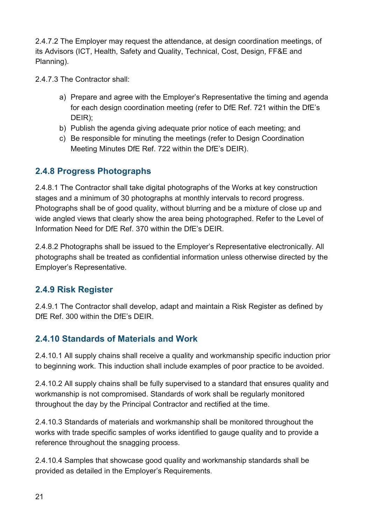2.4.7.2 The Employer may request the attendance, at design coordination meetings, of its Advisors (ICT, Health, Safety and Quality, Technical, Cost, Design, FF&E and Planning).

2.4.7.3 The Contractor shall:

- a) Prepare and agree with the Employer's Representative the timing and agenda for each design coordination meeting (refer to DfE Ref. 721 within the DfE's DEIR);
- b) Publish the agenda giving adequate prior notice of each meeting; and
- c) Be responsible for minuting the meetings (refer to Design Coordination Meeting Minutes DfE Ref. 722 within the DfE's DEIR).

#### <span id="page-20-0"></span>**2.4.8 Progress Photographs**

2.4.8.1 The Contractor shall take digital photographs of the Works at key construction stages and a minimum of 30 photographs at monthly intervals to record progress. Photographs shall be of good quality, without blurring and be a mixture of close up and wide angled views that clearly show the area being photographed. Refer to the Level of Information Need for DfE Ref. 370 within the DfE's DEIR.

2.4.8.2 Photographs shall be issued to the Employer's Representative electronically. All photographs shall be treated as confidential information unless otherwise directed by the Employer's Representative.

#### <span id="page-20-1"></span>**2.4.9 Risk Register**

2.4.9.1 The Contractor shall develop, adapt and maintain a Risk Register as defined by DfF Ref. 300 within the DfF's DFIR

#### <span id="page-20-2"></span>**2.4.10 Standards of Materials and Work**

2.4.10.1 All supply chains shall receive a quality and workmanship specific induction prior to beginning work. This induction shall include examples of poor practice to be avoided.

2.4.10.2 All supply chains shall be fully supervised to a standard that ensures quality and workmanship is not compromised. Standards of work shall be regularly monitored throughout the day by the Principal Contractor and rectified at the time.

2.4.10.3 Standards of materials and workmanship shall be monitored throughout the works with trade specific samples of works identified to gauge quality and to provide a reference throughout the snagging process.

2.4.10.4 Samples that showcase good quality and workmanship standards shall be provided as detailed in the Employer's Requirements.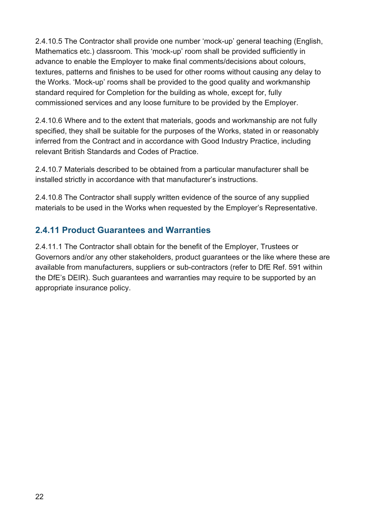2.4.10.5 The Contractor shall provide one number 'mock-up' general teaching (English, Mathematics etc.) classroom. This 'mock-up' room shall be provided sufficiently in advance to enable the Employer to make final comments/decisions about colours, textures, patterns and finishes to be used for other rooms without causing any delay to the Works. 'Mock-up' rooms shall be provided to the good quality and workmanship standard required for Completion for the building as whole, except for, fully commissioned services and any loose furniture to be provided by the Employer.

2.4.10.6 Where and to the extent that materials, goods and workmanship are not fully specified, they shall be suitable for the purposes of the Works, stated in or reasonably inferred from the Contract and in accordance with Good Industry Practice, including relevant British Standards and Codes of Practice.

2.4.10.7 Materials described to be obtained from a particular manufacturer shall be installed strictly in accordance with that manufacturer's instructions.

2.4.10.8 The Contractor shall supply written evidence of the source of any supplied materials to be used in the Works when requested by the Employer's Representative.

#### <span id="page-21-0"></span>**2.4.11 Product Guarantees and Warranties**

2.4.11.1 The Contractor shall obtain for the benefit of the Employer, Trustees or Governors and/or any other stakeholders, product guarantees or the like where these are available from manufacturers, suppliers or sub-contractors (refer to DfE Ref. 591 within the DfE's DEIR). Such guarantees and warranties may require to be supported by an appropriate insurance policy.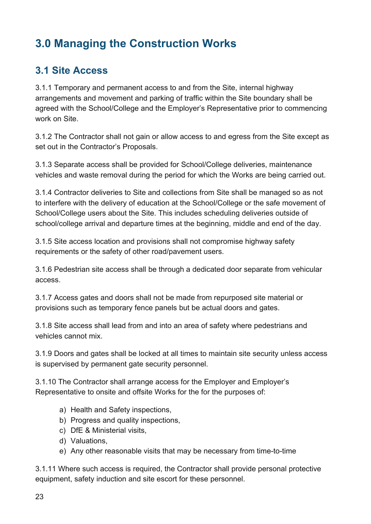# <span id="page-22-0"></span>**3.0 Managing the Construction Works**

## <span id="page-22-1"></span>**3.1 Site Access**

3.1.1 Temporary and permanent access to and from the Site, internal highway arrangements and movement and parking of traffic within the Site boundary shall be agreed with the School/College and the Employer's Representative prior to commencing work on Site.

3.1.2 The Contractor shall not gain or allow access to and egress from the Site except as set out in the Contractor's Proposals.

3.1.3 Separate access shall be provided for School/College deliveries, maintenance vehicles and waste removal during the period for which the Works are being carried out.

3.1.4 Contractor deliveries to Site and collections from Site shall be managed so as not to interfere with the delivery of education at the School/College or the safe movement of School/College users about the Site. This includes scheduling deliveries outside of school/college arrival and departure times at the beginning, middle and end of the day.

3.1.5 Site access location and provisions shall not compromise highway safety requirements or the safety of other road/pavement users.

3.1.6 Pedestrian site access shall be through a dedicated door separate from vehicular access.

3.1.7 Access gates and doors shall not be made from repurposed site material or provisions such as temporary fence panels but be actual doors and gates.

3.1.8 Site access shall lead from and into an area of safety where pedestrians and vehicles cannot mix.

3.1.9 Doors and gates shall be locked at all times to maintain site security unless access is supervised by permanent gate security personnel.

3.1.10 The Contractor shall arrange access for the Employer and Employer's Representative to onsite and offsite Works for the for the purposes of:

- a) Health and Safety inspections,
- b) Progress and quality inspections,
- c) DfE & Ministerial visits,
- d) Valuations,
- e) Any other reasonable visits that may be necessary from time-to-time

3.1.11 Where such access is required, the Contractor shall provide personal protective equipment, safety induction and site escort for these personnel.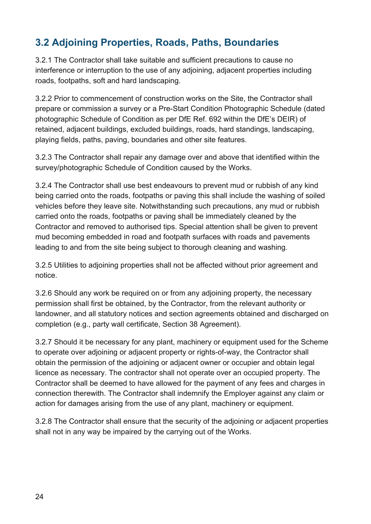## <span id="page-23-0"></span>**3.2 Adjoining Properties, Roads, Paths, Boundaries**

3.2.1 The Contractor shall take suitable and sufficient precautions to cause no interference or interruption to the use of any adjoining, adjacent properties including roads, footpaths, soft and hard landscaping.

3.2.2 Prior to commencement of construction works on the Site, the Contractor shall prepare or commission a survey or a Pre-Start Condition Photographic Schedule (dated photographic Schedule of Condition as per DfE Ref. 692 within the DfE's DEIR) of retained, adjacent buildings, excluded buildings, roads, hard standings, landscaping, playing fields, paths, paving, boundaries and other site features.

3.2.3 The Contractor shall repair any damage over and above that identified within the survey/photographic Schedule of Condition caused by the Works.

3.2.4 The Contractor shall use best endeavours to prevent mud or rubbish of any kind being carried onto the roads, footpaths or paving this shall include the washing of soiled vehicles before they leave site. Notwithstanding such precautions, any mud or rubbish carried onto the roads, footpaths or paving shall be immediately cleaned by the Contractor and removed to authorised tips. Special attention shall be given to prevent mud becoming embedded in road and footpath surfaces with roads and pavements leading to and from the site being subject to thorough cleaning and washing.

3.2.5 Utilities to adjoining properties shall not be affected without prior agreement and notice.

3.2.6 Should any work be required on or from any adjoining property, the necessary permission shall first be obtained, by the Contractor, from the relevant authority or landowner, and all statutory notices and section agreements obtained and discharged on completion (e.g., party wall certificate, Section 38 Agreement).

3.2.7 Should it be necessary for any plant, machinery or equipment used for the Scheme to operate over adjoining or adjacent property or rights-of-way, the Contractor shall obtain the permission of the adjoining or adjacent owner or occupier and obtain legal licence as necessary. The contractor shall not operate over an occupied property. The Contractor shall be deemed to have allowed for the payment of any fees and charges in connection therewith. The Contractor shall indemnify the Employer against any claim or action for damages arising from the use of any plant, machinery or equipment.

3.2.8 The Contractor shall ensure that the security of the adjoining or adjacent properties shall not in any way be impaired by the carrying out of the Works.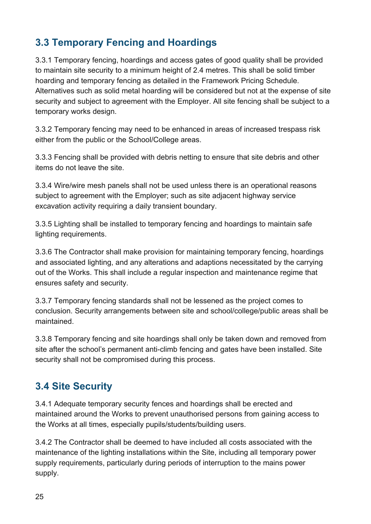## <span id="page-24-0"></span>**3.3 Temporary Fencing and Hoardings**

3.3.1 Temporary fencing, hoardings and access gates of good quality shall be provided to maintain site security to a minimum height of 2.4 metres. This shall be solid timber hoarding and temporary fencing as detailed in the Framework Pricing Schedule. Alternatives such as solid metal hoarding will be considered but not at the expense of site security and subject to agreement with the Employer. All site fencing shall be subject to a temporary works design.

3.3.2 Temporary fencing may need to be enhanced in areas of increased trespass risk either from the public or the School/College areas.

3.3.3 Fencing shall be provided with debris netting to ensure that site debris and other items do not leave the site.

3.3.4 Wire/wire mesh panels shall not be used unless there is an operational reasons subject to agreement with the Employer; such as site adjacent highway service excavation activity requiring a daily transient boundary.

3.3.5 Lighting shall be installed to temporary fencing and hoardings to maintain safe lighting requirements.

3.3.6 The Contractor shall make provision for maintaining temporary fencing, hoardings and associated lighting, and any alterations and adaptions necessitated by the carrying out of the Works. This shall include a regular inspection and maintenance regime that ensures safety and security.

3.3.7 Temporary fencing standards shall not be lessened as the project comes to conclusion. Security arrangements between site and school/college/public areas shall be maintained.

3.3.8 Temporary fencing and site hoardings shall only be taken down and removed from site after the school's permanent anti-climb fencing and gates have been installed. Site security shall not be compromised during this process.

## <span id="page-24-1"></span>**3.4 Site Security**

3.4.1 Adequate temporary security fences and hoardings shall be erected and maintained around the Works to prevent unauthorised persons from gaining access to the Works at all times, especially pupils/students/building users.

3.4.2 The Contractor shall be deemed to have included all costs associated with the maintenance of the lighting installations within the Site, including all temporary power supply requirements, particularly during periods of interruption to the mains power supply.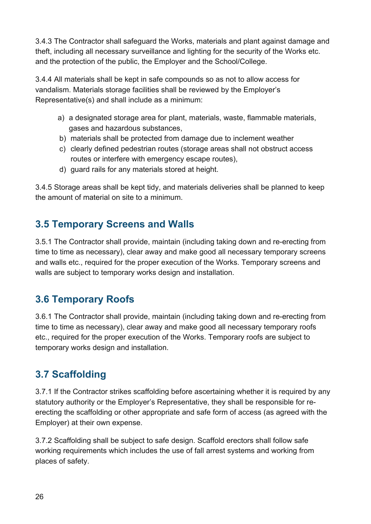3.4.3 The Contractor shall safeguard the Works, materials and plant against damage and theft, including all necessary surveillance and lighting for the security of the Works etc. and the protection of the public, the Employer and the School/College.

3.4.4 All materials shall be kept in safe compounds so as not to allow access for vandalism. Materials storage facilities shall be reviewed by the Employer's Representative(s) and shall include as a minimum:

- a) a designated storage area for plant, materials, waste, flammable materials, gases and hazardous substances,
- b) materials shall be protected from damage due to inclement weather
- c) clearly defined pedestrian routes (storage areas shall not obstruct access routes or interfere with emergency escape routes),
- d) guard rails for any materials stored at height.

3.4.5 Storage areas shall be kept tidy, and materials deliveries shall be planned to keep the amount of material on site to a minimum.

## <span id="page-25-0"></span>**3.5 Temporary Screens and Walls**

3.5.1 The Contractor shall provide, maintain (including taking down and re-erecting from time to time as necessary), clear away and make good all necessary temporary screens and walls etc., required for the proper execution of the Works. Temporary screens and walls are subject to temporary works design and installation.

## <span id="page-25-1"></span>**3.6 Temporary Roofs**

3.6.1 The Contractor shall provide, maintain (including taking down and re-erecting from time to time as necessary), clear away and make good all necessary temporary roofs etc., required for the proper execution of the Works. Temporary roofs are subject to temporary works design and installation.

# <span id="page-25-2"></span>**3.7 Scaffolding**

3.7.1 If the Contractor strikes scaffolding before ascertaining whether it is required by any statutory authority or the Employer's Representative, they shall be responsible for reerecting the scaffolding or other appropriate and safe form of access (as agreed with the Employer) at their own expense.

3.7.2 Scaffolding shall be subject to safe design. Scaffold erectors shall follow safe working requirements which includes the use of fall arrest systems and working from places of safety.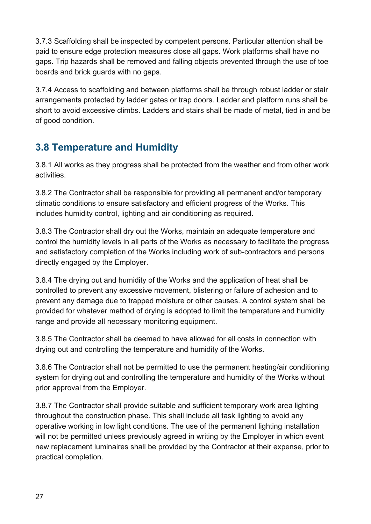3.7.3 Scaffolding shall be inspected by competent persons. Particular attention shall be paid to ensure edge protection measures close all gaps. Work platforms shall have no gaps. Trip hazards shall be removed and falling objects prevented through the use of toe boards and brick guards with no gaps.

3.7.4 Access to scaffolding and between platforms shall be through robust ladder or stair arrangements protected by ladder gates or trap doors. Ladder and platform runs shall be short to avoid excessive climbs. Ladders and stairs shall be made of metal, tied in and be of good condition.

## <span id="page-26-0"></span>**3.8 Temperature and Humidity**

3.8.1 All works as they progress shall be protected from the weather and from other work activities.

3.8.2 The Contractor shall be responsible for providing all permanent and/or temporary climatic conditions to ensure satisfactory and efficient progress of the Works. This includes humidity control, lighting and air conditioning as required.

3.8.3 The Contractor shall dry out the Works, maintain an adequate temperature and control the humidity levels in all parts of the Works as necessary to facilitate the progress and satisfactory completion of the Works including work of sub-contractors and persons directly engaged by the Employer.

3.8.4 The drying out and humidity of the Works and the application of heat shall be controlled to prevent any excessive movement, blistering or failure of adhesion and to prevent any damage due to trapped moisture or other causes. A control system shall be provided for whatever method of drying is adopted to limit the temperature and humidity range and provide all necessary monitoring equipment.

3.8.5 The Contractor shall be deemed to have allowed for all costs in connection with drying out and controlling the temperature and humidity of the Works.

3.8.6 The Contractor shall not be permitted to use the permanent heating/air conditioning system for drying out and controlling the temperature and humidity of the Works without prior approval from the Employer.

3.8.7 The Contractor shall provide suitable and sufficient temporary work area lighting throughout the construction phase. This shall include all task lighting to avoid any operative working in low light conditions. The use of the permanent lighting installation will not be permitted unless previously agreed in writing by the Employer in which event new replacement luminaires shall be provided by the Contractor at their expense, prior to practical completion.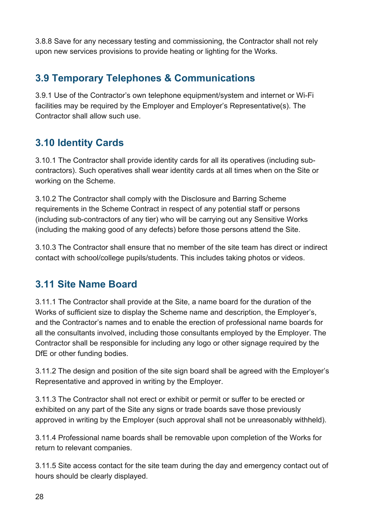3.8.8 Save for any necessary testing and commissioning, the Contractor shall not rely upon new services provisions to provide heating or lighting for the Works.

## <span id="page-27-0"></span>**3.9 Temporary Telephones & Communications**

3.9.1 Use of the Contractor's own telephone equipment/system and internet or Wi-Fi facilities may be required by the Employer and Employer's Representative(s). The Contractor shall allow such use.

## <span id="page-27-1"></span>**3.10 Identity Cards**

3.10.1 The Contractor shall provide identity cards for all its operatives (including subcontractors). Such operatives shall wear identity cards at all times when on the Site or working on the Scheme.

3.10.2 The Contractor shall comply with the Disclosure and Barring Scheme requirements in the Scheme Contract in respect of any potential staff or persons (including sub-contractors of any tier) who will be carrying out any Sensitive Works (including the making good of any defects) before those persons attend the Site.

3.10.3 The Contractor shall ensure that no member of the site team has direct or indirect contact with school/college pupils/students. This includes taking photos or videos.

## <span id="page-27-2"></span>**3.11 Site Name Board**

3.11.1 The Contractor shall provide at the Site, a name board for the duration of the Works of sufficient size to display the Scheme name and description, the Employer's, and the Contractor's names and to enable the erection of professional name boards for all the consultants involved, including those consultants employed by the Employer. The Contractor shall be responsible for including any logo or other signage required by the DfE or other funding bodies.

3.11.2 The design and position of the site sign board shall be agreed with the Employer's Representative and approved in writing by the Employer.

3.11.3 The Contractor shall not erect or exhibit or permit or suffer to be erected or exhibited on any part of the Site any signs or trade boards save those previously approved in writing by the Employer (such approval shall not be unreasonably withheld).

3.11.4 Professional name boards shall be removable upon completion of the Works for return to relevant companies.

3.11.5 Site access contact for the site team during the day and emergency contact out of hours should be clearly displayed.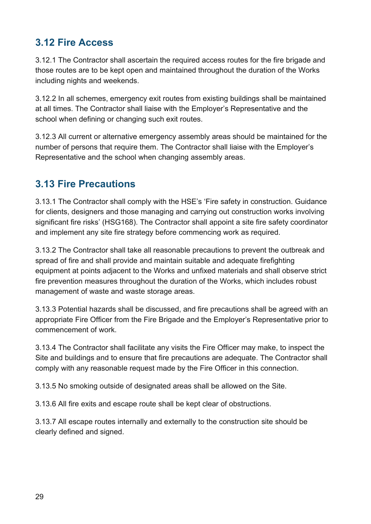## <span id="page-28-0"></span>**3.12 Fire Access**

3.12.1 The Contractor shall ascertain the required access routes for the fire brigade and those routes are to be kept open and maintained throughout the duration of the Works including nights and weekends.

3.12.2 In all schemes, emergency exit routes from existing buildings shall be maintained at all times. The Contractor shall liaise with the Employer's Representative and the school when defining or changing such exit routes.

3.12.3 All current or alternative emergency assembly areas should be maintained for the number of persons that require them. The Contractor shall liaise with the Employer's Representative and the school when changing assembly areas.

#### <span id="page-28-1"></span>**3.13 Fire Precautions**

3.13.1 The Contractor shall comply with the HSE's 'Fire safety in construction. Guidance for clients, designers and those managing and carrying out construction works involving significant fire risks' (HSG168). The Contractor shall appoint a site fire safety coordinator and implement any site fire strategy before commencing work as required.

3.13.2 The Contractor shall take all reasonable precautions to prevent the outbreak and spread of fire and shall provide and maintain suitable and adequate firefighting equipment at points adjacent to the Works and unfixed materials and shall observe strict fire prevention measures throughout the duration of the Works, which includes robust management of waste and waste storage areas.

3.13.3 Potential hazards shall be discussed, and fire precautions shall be agreed with an appropriate Fire Officer from the Fire Brigade and the Employer's Representative prior to commencement of work.

3.13.4 The Contractor shall facilitate any visits the Fire Officer may make, to inspect the Site and buildings and to ensure that fire precautions are adequate. The Contractor shall comply with any reasonable request made by the Fire Officer in this connection.

3.13.5 No smoking outside of designated areas shall be allowed on the Site.

3.13.6 All fire exits and escape route shall be kept clear of obstructions.

3.13.7 All escape routes internally and externally to the construction site should be clearly defined and signed.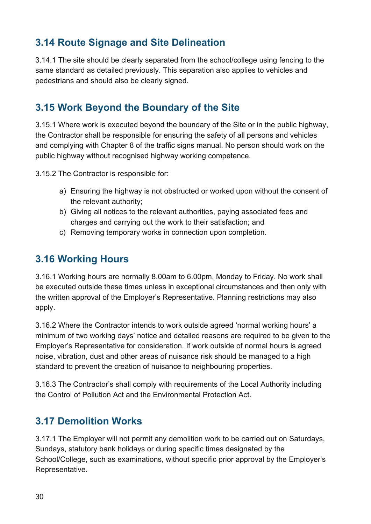## <span id="page-29-0"></span>**3.14 Route Signage and Site Delineation**

3.14.1 The site should be clearly separated from the school/college using fencing to the same standard as detailed previously. This separation also applies to vehicles and pedestrians and should also be clearly signed.

## <span id="page-29-1"></span>**3.15 Work Beyond the Boundary of the Site**

3.15.1 Where work is executed beyond the boundary of the Site or in the public highway, the Contractor shall be responsible for ensuring the safety of all persons and vehicles and complying with Chapter 8 of the traffic signs manual. No person should work on the public highway without recognised highway working competence.

3.15.2 The Contractor is responsible for:

- a) Ensuring the highway is not obstructed or worked upon without the consent of the relevant authority;
- b) Giving all notices to the relevant authorities, paying associated fees and charges and carrying out the work to their satisfaction; and
- c) Removing temporary works in connection upon completion.

## <span id="page-29-2"></span>**3.16 Working Hours**

3.16.1 Working hours are normally 8.00am to 6.00pm, Monday to Friday. No work shall be executed outside these times unless in exceptional circumstances and then only with the written approval of the Employer's Representative. Planning restrictions may also apply.

3.16.2 Where the Contractor intends to work outside agreed 'normal working hours' a minimum of two working days' notice and detailed reasons are required to be given to the Employer's Representative for consideration. If work outside of normal hours is agreed noise, vibration, dust and other areas of nuisance risk should be managed to a high standard to prevent the creation of nuisance to neighbouring properties.

3.16.3 The Contractor's shall comply with requirements of the Local Authority including the Control of Pollution Act and the Environmental Protection Act.

## <span id="page-29-3"></span>**3.17 Demolition Works**

3.17.1 The Employer will not permit any demolition work to be carried out on Saturdays, Sundays, statutory bank holidays or during specific times designated by the School/College, such as examinations, without specific prior approval by the Employer's Representative.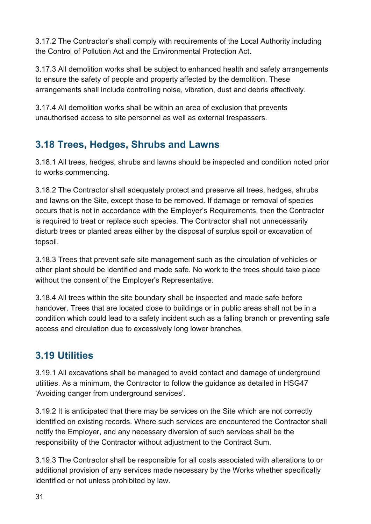3.17.2 The Contractor's shall comply with requirements of the Local Authority including the Control of Pollution Act and the Environmental Protection Act.

3.17.3 All demolition works shall be subject to enhanced health and safety arrangements to ensure the safety of people and property affected by the demolition. These arrangements shall include controlling noise, vibration, dust and debris effectively.

3.17.4 All demolition works shall be within an area of exclusion that prevents unauthorised access to site personnel as well as external trespassers.

## <span id="page-30-0"></span>**3.18 Trees, Hedges, Shrubs and Lawns**

3.18.1 All trees, hedges, shrubs and lawns should be inspected and condition noted prior to works commencing.

3.18.2 The Contractor shall adequately protect and preserve all trees, hedges, shrubs and lawns on the Site, except those to be removed. If damage or removal of species occurs that is not in accordance with the Employer's Requirements, then the Contractor is required to treat or replace such species. The Contractor shall not unnecessarily disturb trees or planted areas either by the disposal of surplus spoil or excavation of topsoil.

3.18.3 Trees that prevent safe site management such as the circulation of vehicles or other plant should be identified and made safe. No work to the trees should take place without the consent of the Employer's Representative.

3.18.4 All trees within the site boundary shall be inspected and made safe before handover. Trees that are located close to buildings or in public areas shall not be in a condition which could lead to a safety incident such as a falling branch or preventing safe access and circulation due to excessively long lower branches.

## <span id="page-30-1"></span>**3.19 Utilities**

3.19.1 All excavations shall be managed to avoid contact and damage of underground utilities. As a minimum, the Contractor to follow the guidance as detailed in HSG47 'Avoiding danger from underground services'.

3.19.2 It is anticipated that there may be services on the Site which are not correctly identified on existing records. Where such services are encountered the Contractor shall notify the Employer, and any necessary diversion of such services shall be the responsibility of the Contractor without adjustment to the Contract Sum.

3.19.3 The Contractor shall be responsible for all costs associated with alterations to or additional provision of any services made necessary by the Works whether specifically identified or not unless prohibited by law.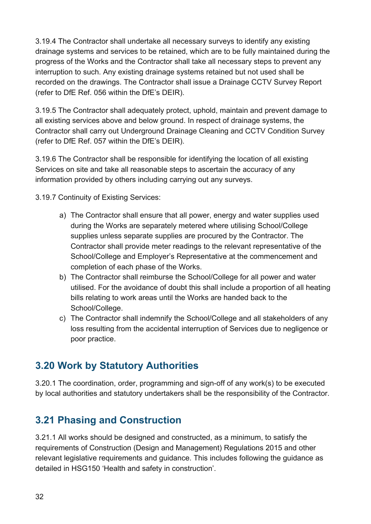3.19.4 The Contractor shall undertake all necessary surveys to identify any existing drainage systems and services to be retained, which are to be fully maintained during the progress of the Works and the Contractor shall take all necessary steps to prevent any interruption to such. Any existing drainage systems retained but not used shall be recorded on the drawings. The Contractor shall issue a Drainage CCTV Survey Report (refer to DfE Ref. 056 within the DfE's DEIR).

3.19.5 The Contractor shall adequately protect, uphold, maintain and prevent damage to all existing services above and below ground. In respect of drainage systems, the Contractor shall carry out Underground Drainage Cleaning and CCTV Condition Survey (refer to DfE Ref. 057 within the DfE's DEIR).

3.19.6 The Contractor shall be responsible for identifying the location of all existing Services on site and take all reasonable steps to ascertain the accuracy of any information provided by others including carrying out any surveys.

3.19.7 Continuity of Existing Services:

- a) The Contractor shall ensure that all power, energy and water supplies used during the Works are separately metered where utilising School/College supplies unless separate supplies are procured by the Contractor. The Contractor shall provide meter readings to the relevant representative of the School/College and Employer's Representative at the commencement and completion of each phase of the Works.
- b) The Contractor shall reimburse the School/College for all power and water utilised. For the avoidance of doubt this shall include a proportion of all heating bills relating to work areas until the Works are handed back to the School/College.
- c) The Contractor shall indemnify the School/College and all stakeholders of any loss resulting from the accidental interruption of Services due to negligence or poor practice.

## <span id="page-31-0"></span>**3.20 Work by Statutory Authorities**

3.20.1 The coordination, order, programming and sign-off of any work(s) to be executed by local authorities and statutory undertakers shall be the responsibility of the Contractor.

## <span id="page-31-1"></span>**3.21 Phasing and Construction**

3.21.1 All works should be designed and constructed, as a minimum, to satisfy the requirements of Construction (Design and Management) Regulations 2015 and other relevant legislative requirements and guidance. This includes following the guidance as detailed in HSG150 'Health and safety in construction'.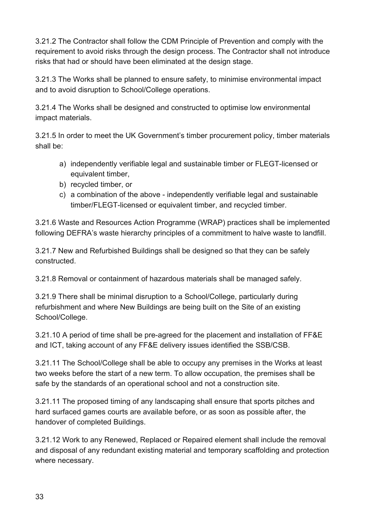3.21.2 The Contractor shall follow the CDM Principle of Prevention and comply with the requirement to avoid risks through the design process. The Contractor shall not introduce risks that had or should have been eliminated at the design stage.

3.21.3 The Works shall be planned to ensure safety, to minimise environmental impact and to avoid disruption to School/College operations.

3.21.4 The Works shall be designed and constructed to optimise low environmental impact materials.

3.21.5 In order to meet the UK Government's timber procurement policy, timber materials shall be:

- a) independently verifiable legal and sustainable timber or FLEGT-licensed or equivalent timber,
- b) recycled timber, or
- c) a combination of the above independently verifiable legal and sustainable timber/FLEGT-licensed or equivalent timber, and recycled timber.

3.21.6 Waste and Resources Action Programme (WRAP) practices shall be implemented following DEFRA's waste hierarchy principles of a commitment to halve waste to landfill.

3.21.7 New and Refurbished Buildings shall be designed so that they can be safely constructed.

3.21.8 Removal or containment of hazardous materials shall be managed safely.

3.21.9 There shall be minimal disruption to a School/College, particularly during refurbishment and where New Buildings are being built on the Site of an existing School/College.

3.21.10 A period of time shall be pre-agreed for the placement and installation of FF&E and ICT, taking account of any FF&E delivery issues identified the SSB/CSB.

3.21.11 The School/College shall be able to occupy any premises in the Works at least two weeks before the start of a new term. To allow occupation, the premises shall be safe by the standards of an operational school and not a construction site.

3.21.11 The proposed timing of any landscaping shall ensure that sports pitches and hard surfaced games courts are available before, or as soon as possible after, the handover of completed Buildings.

3.21.12 Work to any Renewed, Replaced or Repaired element shall include the removal and disposal of any redundant existing material and temporary scaffolding and protection where necessary.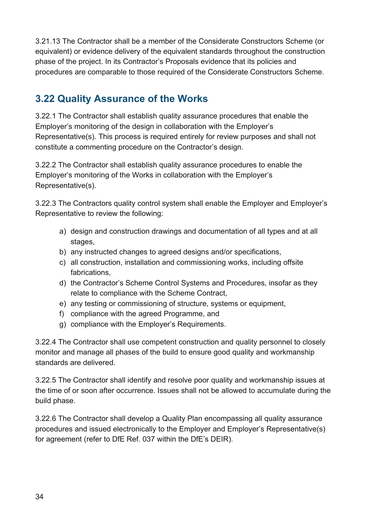3.21.13 The Contractor shall be a member of the Considerate Constructors Scheme (or equivalent) or evidence delivery of the equivalent standards throughout the construction phase of the project. In its Contractor's Proposals evidence that its policies and procedures are comparable to those required of the Considerate Constructors Scheme.

## <span id="page-33-0"></span>**3.22 Quality Assurance of the Works**

3.22.1 The Contractor shall establish quality assurance procedures that enable the Employer's monitoring of the design in collaboration with the Employer's Representative(s). This process is required entirely for review purposes and shall not constitute a commenting procedure on the Contractor's design.

3.22.2 The Contractor shall establish quality assurance procedures to enable the Employer's monitoring of the Works in collaboration with the Employer's Representative(s).

3.22.3 The Contractors quality control system shall enable the Employer and Employer's Representative to review the following:

- a) design and construction drawings and documentation of all types and at all stages,
- b) any instructed changes to agreed designs and/or specifications,
- c) all construction, installation and commissioning works, including offsite fabrications,
- d) the Contractor's Scheme Control Systems and Procedures, insofar as they relate to compliance with the Scheme Contract,
- e) any testing or commissioning of structure, systems or equipment,
- f) compliance with the agreed Programme, and
- g) compliance with the Employer's Requirements.

3.22.4 The Contractor shall use competent construction and quality personnel to closely monitor and manage all phases of the build to ensure good quality and workmanship standards are delivered.

3.22.5 The Contractor shall identify and resolve poor quality and workmanship issues at the time of or soon after occurrence. Issues shall not be allowed to accumulate during the build phase.

3.22.6 The Contractor shall develop a Quality Plan encompassing all quality assurance procedures and issued electronically to the Employer and Employer's Representative(s) for agreement (refer to DfE Ref. 037 within the DfE's DEIR).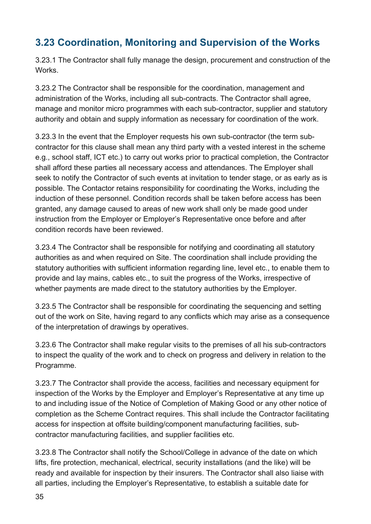## <span id="page-34-0"></span>**3.23 Coordination, Monitoring and Supervision of the Works**

3.23.1 The Contractor shall fully manage the design, procurement and construction of the Works.

3.23.2 The Contractor shall be responsible for the coordination, management and administration of the Works, including all sub-contracts. The Contractor shall agree, manage and monitor micro programmes with each sub-contractor, supplier and statutory authority and obtain and supply information as necessary for coordination of the work.

3.23.3 In the event that the Employer requests his own sub-contractor (the term subcontractor for this clause shall mean any third party with a vested interest in the scheme e.g., school staff, ICT etc.) to carry out works prior to practical completion, the Contractor shall afford these parties all necessary access and attendances. The Employer shall seek to notify the Contractor of such events at invitation to tender stage, or as early as is possible. The Contactor retains responsibility for coordinating the Works, including the induction of these personnel. Condition records shall be taken before access has been granted, any damage caused to areas of new work shall only be made good under instruction from the Employer or Employer's Representative once before and after condition records have been reviewed.

3.23.4 The Contractor shall be responsible for notifying and coordinating all statutory authorities as and when required on Site. The coordination shall include providing the statutory authorities with sufficient information regarding line, level etc., to enable them to provide and lay mains, cables etc., to suit the progress of the Works, irrespective of whether payments are made direct to the statutory authorities by the Employer.

3.23.5 The Contractor shall be responsible for coordinating the sequencing and setting out of the work on Site, having regard to any conflicts which may arise as a consequence of the interpretation of drawings by operatives.

3.23.6 The Contractor shall make regular visits to the premises of all his sub-contractors to inspect the quality of the work and to check on progress and delivery in relation to the Programme.

3.23.7 The Contractor shall provide the access, facilities and necessary equipment for inspection of the Works by the Employer and Employer's Representative at any time up to and including issue of the Notice of Completion of Making Good or any other notice of completion as the Scheme Contract requires. This shall include the Contractor facilitating access for inspection at offsite building/component manufacturing facilities, subcontractor manufacturing facilities, and supplier facilities etc.

3.23.8 The Contractor shall notify the School/College in advance of the date on which lifts, fire protection, mechanical, electrical, security installations (and the like) will be ready and available for inspection by their insurers. The Contractor shall also liaise with all parties, including the Employer's Representative, to establish a suitable date for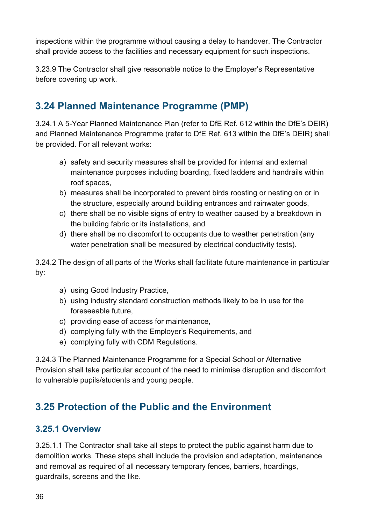inspections within the programme without causing a delay to handover. The Contractor shall provide access to the facilities and necessary equipment for such inspections.

3.23.9 The Contractor shall give reasonable notice to the Employer's Representative before covering up work.

## <span id="page-35-0"></span>**3.24 Planned Maintenance Programme (PMP)**

3.24.1 A 5-Year Planned Maintenance Plan (refer to DfE Ref. 612 within the DfE's DEIR) and Planned Maintenance Programme (refer to DfE Ref. 613 within the DfE's DEIR) shall be provided. For all relevant works:

- a) safety and security measures shall be provided for internal and external maintenance purposes including boarding, fixed ladders and handrails within roof spaces,
- b) measures shall be incorporated to prevent birds roosting or nesting on or in the structure, especially around building entrances and rainwater goods,
- c) there shall be no visible signs of entry to weather caused by a breakdown in the building fabric or its installations, and
- d) there shall be no discomfort to occupants due to weather penetration (any water penetration shall be measured by electrical conductivity tests).

3.24.2 The design of all parts of the Works shall facilitate future maintenance in particular by:

- a) using Good Industry Practice,
- b) using industry standard construction methods likely to be in use for the foreseeable future,
- c) providing ease of access for maintenance,
- d) complying fully with the Employer's Requirements, and
- e) complying fully with CDM Regulations.

3.24.3 The Planned Maintenance Programme for a Special School or Alternative Provision shall take particular account of the need to minimise disruption and discomfort to vulnerable pupils/students and young people.

## <span id="page-35-1"></span>**3.25 Protection of the Public and the Environment**

#### <span id="page-35-2"></span>**3.25.1 Overview**

3.25.1.1 The Contractor shall take all steps to protect the public against harm due to demolition works. These steps shall include the provision and adaptation, maintenance and removal as required of all necessary temporary fences, barriers, hoardings, guardrails, screens and the like.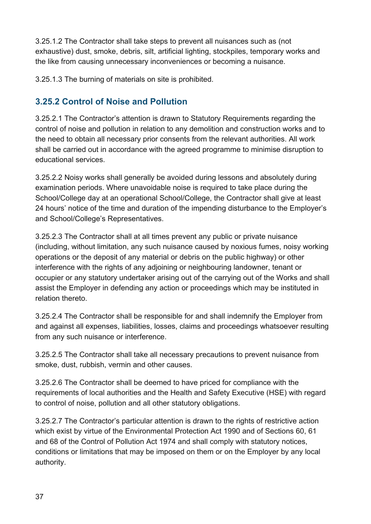3.25.1.2 The Contractor shall take steps to prevent all nuisances such as (not exhaustive) dust, smoke, debris, silt, artificial lighting, stockpiles, temporary works and the like from causing unnecessary inconveniences or becoming a nuisance.

3.25.1.3 The burning of materials on site is prohibited.

#### <span id="page-36-0"></span>**3.25.2 Control of Noise and Pollution**

3.25.2.1 The Contractor's attention is drawn to Statutory Requirements regarding the control of noise and pollution in relation to any demolition and construction works and to the need to obtain all necessary prior consents from the relevant authorities. All work shall be carried out in accordance with the agreed programme to minimise disruption to educational services.

3.25.2.2 Noisy works shall generally be avoided during lessons and absolutely during examination periods. Where unavoidable noise is required to take place during the School/College day at an operational School/College, the Contractor shall give at least 24 hours' notice of the time and duration of the impending disturbance to the Employer's and School/College's Representatives.

3.25.2.3 The Contractor shall at all times prevent any public or private nuisance (including, without limitation, any such nuisance caused by noxious fumes, noisy working operations or the deposit of any material or debris on the public highway) or other interference with the rights of any adjoining or neighbouring landowner, tenant or occupier or any statutory undertaker arising out of the carrying out of the Works and shall assist the Employer in defending any action or proceedings which may be instituted in relation thereto.

3.25.2.4 The Contractor shall be responsible for and shall indemnify the Employer from and against all expenses, liabilities, losses, claims and proceedings whatsoever resulting from any such nuisance or interference.

3.25.2.5 The Contractor shall take all necessary precautions to prevent nuisance from smoke, dust, rubbish, vermin and other causes.

3.25.2.6 The Contractor shall be deemed to have priced for compliance with the requirements of local authorities and the Health and Safety Executive (HSE) with regard to control of noise, pollution and all other statutory obligations.

3.25.2.7 The Contractor's particular attention is drawn to the rights of restrictive action which exist by virtue of the Environmental Protection Act 1990 and of Sections 60, 61 and 68 of the Control of Pollution Act 1974 and shall comply with statutory notices, conditions or limitations that may be imposed on them or on the Employer by any local authority.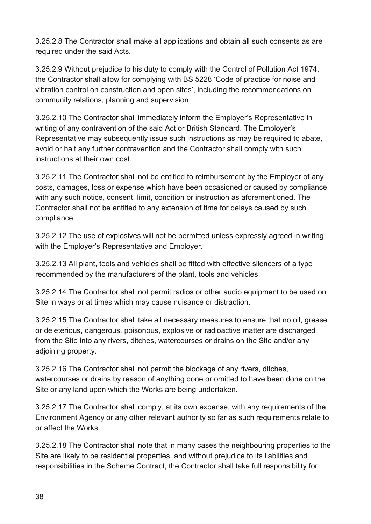3.25.2.8 The Contractor shall make all applications and obtain all such consents as are required under the said Acts.

3.25.2.9 Without prejudice to his duty to comply with the Control of Pollution Act 1974, the Contractor shall allow for complying with BS 5228 'Code of practice for noise and vibration control on construction and open sites', including the recommendations on community relations, planning and supervision.

3.25.2.10 The Contractor shall immediately inform the Employer's Representative in writing of any contravention of the said Act or British Standard. The Employer's Representative may subsequently issue such instructions as may be required to abate, avoid or halt any further contravention and the Contractor shall comply with such instructions at their own cost.

3.25.2.11 The Contractor shall not be entitled to reimbursement by the Employer of any costs, damages, loss or expense which have been occasioned or caused by compliance with any such notice, consent, limit, condition or instruction as aforementioned. The Contractor shall not be entitled to any extension of time for delays caused by such compliance.

3.25.2.12 The use of explosives will not be permitted unless expressly agreed in writing with the Employer's Representative and Employer.

3.25.2.13 All plant, tools and vehicles shall be fitted with effective silencers of a type recommended by the manufacturers of the plant, tools and vehicles.

3.25.2.14 The Contractor shall not permit radios or other audio equipment to be used on Site in ways or at times which may cause nuisance or distraction.

3.25.2.15 The Contractor shall take all necessary measures to ensure that no oil, grease or deleterious, dangerous, poisonous, explosive or radioactive matter are discharged from the Site into any rivers, ditches, watercourses or drains on the Site and/or any adjoining property.

3.25.2.16 The Contractor shall not permit the blockage of any rivers, ditches, watercourses or drains by reason of anything done or omitted to have been done on the Site or any land upon which the Works are being undertaken.

3.25.2.17 The Contractor shall comply, at its own expense, with any requirements of the Environment Agency or any other relevant authority so far as such requirements relate to or affect the Works.

3.25.2.18 The Contractor shall note that in many cases the neighbouring properties to the Site are likely to be residential properties, and without prejudice to its liabilities and responsibilities in the Scheme Contract, the Contractor shall take full responsibility for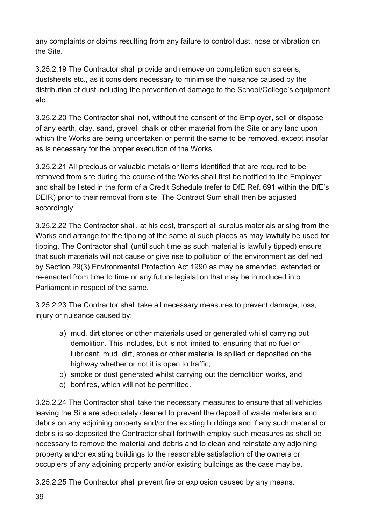any complaints or claims resulting from any failure to control dust, nose or vibration on the Site.

3.25.2.19 The Contractor shall provide and remove on completion such screens, dustsheets etc., as it considers necessary to minimise the nuisance caused by the distribution of dust including the prevention of damage to the School/College's equipment etc.

3.25.2.20 The Contractor shall not, without the consent of the Employer, sell or dispose of any earth, clay, sand, gravel, chalk or other material from the Site or any land upon which the Works are being undertaken or permit the same to be removed, except insofar as is necessary for the proper execution of the Works.

3.25.2.21 All precious or valuable metals or items identified that are required to be removed from site during the course of the Works shall first be notified to the Employer and shall be listed in the form of a Credit Schedule (refer to DfE Ref. 691 within the DfE's DEIR) prior to their removal from site. The Contract Sum shall then be adjusted accordingly.

3.25.2.22 The Contractor shall, at his cost, transport all surplus materials arising from the Works and arrange for the tipping of the same at such places as may lawfully be used for tipping. The Contractor shall (until such time as such material is lawfully tipped) ensure that such materials will not cause or give rise to pollution of the environment as defined by Section 29(3) Environmental Protection Act 1990 as may be amended, extended or re-enacted from time to time or any future legislation that may be introduced into Parliament in respect of the same.

3.25.2.23 The Contractor shall take all necessary measures to prevent damage, loss, injury or nuisance caused by:

- a) mud, dirt stones or other materials used or generated whilst carrying out demolition. This includes, but is not limited to, ensuring that no fuel or lubricant, mud, dirt, stones or other material is spilled or deposited on the highway whether or not it is open to traffic,
- b) smoke or dust generated whilst carrying out the demolition works, and
- c) bonfires, which will not be permitted.

3.25.2.24 The Contractor shall take the necessary measures to ensure that all vehicles leaving the Site are adequately cleaned to prevent the deposit of waste materials and debris on any adjoining property and/or the existing buildings and if any such material or debris is so deposited the Contractor shall forthwith employ such measures as shall be necessary to remove the material and debris and to clean and reinstate any adjoining property and/or existing buildings to the reasonable satisfaction of the owners or occupiers of any adjoining property and/or existing buildings as the case may be.

3.25.2.25 The Contractor shall prevent fire or explosion caused by any means.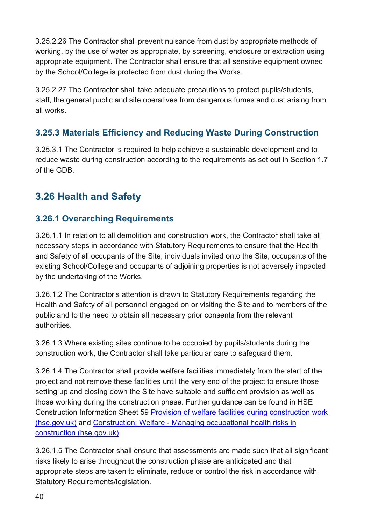3.25.2.26 The Contractor shall prevent nuisance from dust by appropriate methods of working, by the use of water as appropriate, by screening, enclosure or extraction using appropriate equipment. The Contractor shall ensure that all sensitive equipment owned by the School/College is protected from dust during the Works.

3.25.2.27 The Contractor shall take adequate precautions to protect pupils/students, staff, the general public and site operatives from dangerous fumes and dust arising from all works.

#### <span id="page-39-0"></span>**3.25.3 Materials Efficiency and Reducing Waste During Construction**

3.25.3.1 The Contractor is required to help achieve a sustainable development and to reduce waste during construction according to the requirements as set out in Section 1.7 of the GDB.

## <span id="page-39-1"></span>**3.26 Health and Safety**

#### <span id="page-39-2"></span>**3.26.1 Overarching Requirements**

3.26.1.1 In relation to all demolition and construction work, the Contractor shall take all necessary steps in accordance with Statutory Requirements to ensure that the Health and Safety of all occupants of the Site, individuals invited onto the Site, occupants of the existing School/College and occupants of adjoining properties is not adversely impacted by the undertaking of the Works.

3.26.1.2 The Contractor's attention is drawn to Statutory Requirements regarding the Health and Safety of all personnel engaged on or visiting the Site and to members of the public and to the need to obtain all necessary prior consents from the relevant authorities.

3.26.1.3 Where existing sites continue to be occupied by pupils/students during the construction work, the Contractor shall take particular care to safeguard them.

3.26.1.4 The Contractor shall provide welfare facilities immediately from the start of the project and not remove these facilities until the very end of the project to ensure those setting up and closing down the Site have suitable and sufficient provision as well as those working during the construction phase. Further guidance can be found in HSE Construction Information Sheet 59 [Provision of welfare facilities during construction work](https://www.hse.gov.uk/pubns/cis59.pdf)  [\(hse.gov.uk\)](https://www.hse.gov.uk/pubns/cis59.pdf) and [Construction: Welfare - Managing occupational health risks in](https://www.hse.gov.uk/construction/healthrisks/welfare/index.htm)  [construction \(hse.gov.uk\).](https://www.hse.gov.uk/construction/healthrisks/welfare/index.htm)

3.26.1.5 The Contractor shall ensure that assessments are made such that all significant risks likely to arise throughout the construction phase are anticipated and that appropriate steps are taken to eliminate, reduce or control the risk in accordance with Statutory Requirements/legislation.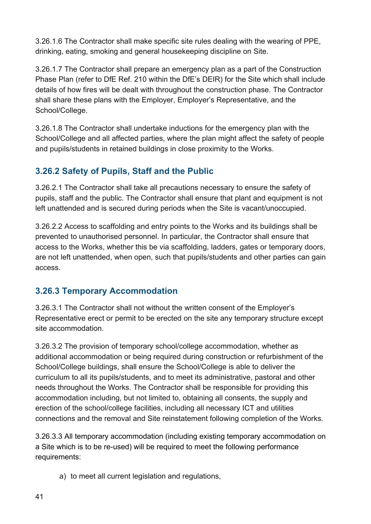3.26.1.6 The Contractor shall make specific site rules dealing with the wearing of PPE, drinking, eating, smoking and general housekeeping discipline on Site.

3.26.1.7 The Contractor shall prepare an emergency plan as a part of the Construction Phase Plan (refer to DfE Ref. 210 within the DfE's DEIR) for the Site which shall include details of how fires will be dealt with throughout the construction phase. The Contractor shall share these plans with the Employer, Employer's Representative, and the School/College.

3.26.1.8 The Contractor shall undertake inductions for the emergency plan with the School/College and all affected parties, where the plan might affect the safety of people and pupils/students in retained buildings in close proximity to the Works.

#### <span id="page-40-0"></span>**3.26.2 Safety of Pupils, Staff and the Public**

3.26.2.1 The Contractor shall take all precautions necessary to ensure the safety of pupils, staff and the public. The Contractor shall ensure that plant and equipment is not left unattended and is secured during periods when the Site is vacant/unoccupied.

3.26.2.2 Access to scaffolding and entry points to the Works and its buildings shall be prevented to unauthorised personnel. In particular, the Contractor shall ensure that access to the Works, whether this be via scaffolding, ladders, gates or temporary doors, are not left unattended, when open, such that pupils/students and other parties can gain access.

#### <span id="page-40-1"></span>**3.26.3 Temporary Accommodation**

3.26.3.1 The Contractor shall not without the written consent of the Employer's Representative erect or permit to be erected on the site any temporary structure except site accommodation.

3.26.3.2 The provision of temporary school/college accommodation, whether as additional accommodation or being required during construction or refurbishment of the School/College buildings, shall ensure the School/College is able to deliver the curriculum to all its pupils/students, and to meet its administrative, pastoral and other needs throughout the Works. The Contractor shall be responsible for providing this accommodation including, but not limited to, obtaining all consents, the supply and erection of the school/college facilities, including all necessary ICT and utilities connections and the removal and Site reinstatement following completion of the Works.

3.26.3.3 All temporary accommodation (including existing temporary accommodation on a Site which is to be re-used) will be required to meet the following performance requirements:

a) to meet all current legislation and regulations,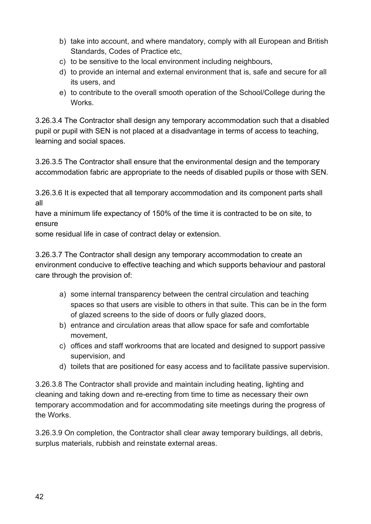- b) take into account, and where mandatory, comply with all European and British Standards, Codes of Practice etc,
- c) to be sensitive to the local environment including neighbours,
- d) to provide an internal and external environment that is, safe and secure for all its users, and
- e) to contribute to the overall smooth operation of the School/College during the **Works**

3.26.3.4 The Contractor shall design any temporary accommodation such that a disabled pupil or pupil with SEN is not placed at a disadvantage in terms of access to teaching, learning and social spaces.

3.26.3.5 The Contractor shall ensure that the environmental design and the temporary accommodation fabric are appropriate to the needs of disabled pupils or those with SEN.

3.26.3.6 It is expected that all temporary accommodation and its component parts shall all

have a minimum life expectancy of 150% of the time it is contracted to be on site, to ensure

some residual life in case of contract delay or extension.

3.26.3.7 The Contractor shall design any temporary accommodation to create an environment conducive to effective teaching and which supports behaviour and pastoral care through the provision of:

- a) some internal transparency between the central circulation and teaching spaces so that users are visible to others in that suite. This can be in the form of glazed screens to the side of doors or fully glazed doors,
- b) entrance and circulation areas that allow space for safe and comfortable movement,
- c) offices and staff workrooms that are located and designed to support passive supervision, and
- d) toilets that are positioned for easy access and to facilitate passive supervision.

3.26.3.8 The Contractor shall provide and maintain including heating, lighting and cleaning and taking down and re-erecting from time to time as necessary their own temporary accommodation and for accommodating site meetings during the progress of the Works.

3.26.3.9 On completion, the Contractor shall clear away temporary buildings, all debris, surplus materials, rubbish and reinstate external areas.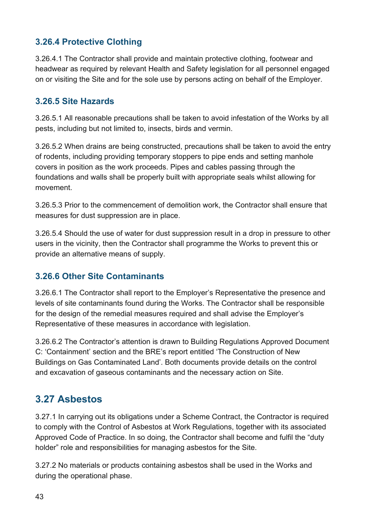#### <span id="page-42-0"></span>**3.26.4 Protective Clothing**

3.26.4.1 The Contractor shall provide and maintain protective clothing, footwear and headwear as required by relevant Health and Safety legislation for all personnel engaged on or visiting the Site and for the sole use by persons acting on behalf of the Employer.

#### <span id="page-42-1"></span>**3.26.5 Site Hazards**

3.26.5.1 All reasonable precautions shall be taken to avoid infestation of the Works by all pests, including but not limited to, insects, birds and vermin.

3.26.5.2 When drains are being constructed, precautions shall be taken to avoid the entry of rodents, including providing temporary stoppers to pipe ends and setting manhole covers in position as the work proceeds. Pipes and cables passing through the foundations and walls shall be properly built with appropriate seals whilst allowing for movement.

3.26.5.3 Prior to the commencement of demolition work, the Contractor shall ensure that measures for dust suppression are in place.

3.26.5.4 Should the use of water for dust suppression result in a drop in pressure to other users in the vicinity, then the Contractor shall programme the Works to prevent this or provide an alternative means of supply.

#### <span id="page-42-2"></span>**3.26.6 Other Site Contaminants**

3.26.6.1 The Contractor shall report to the Employer's Representative the presence and levels of site contaminants found during the Works. The Contractor shall be responsible for the design of the remedial measures required and shall advise the Employer's Representative of these measures in accordance with legislation.

3.26.6.2 The Contractor's attention is drawn to Building Regulations Approved Document C: 'Containment' section and the BRE's report entitled 'The Construction of New Buildings on Gas Contaminated Land'. Both documents provide details on the control and excavation of gaseous contaminants and the necessary action on Site.

## <span id="page-42-3"></span>**3.27 Asbestos**

3.27.1 In carrying out its obligations under a Scheme Contract, the Contractor is required to comply with the Control of Asbestos at Work Regulations, together with its associated Approved Code of Practice. In so doing, the Contractor shall become and fulfil the "duty holder" role and responsibilities for managing asbestos for the Site.

3.27.2 No materials or products containing asbestos shall be used in the Works and during the operational phase.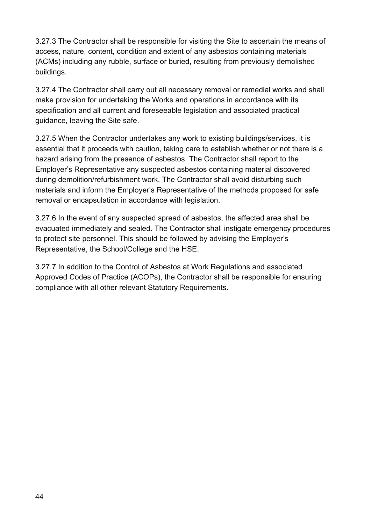3.27.3 The Contractor shall be responsible for visiting the Site to ascertain the means of access, nature, content, condition and extent of any asbestos containing materials (ACMs) including any rubble, surface or buried, resulting from previously demolished buildings.

3.27.4 The Contractor shall carry out all necessary removal or remedial works and shall make provision for undertaking the Works and operations in accordance with its specification and all current and foreseeable legislation and associated practical guidance, leaving the Site safe.

3.27.5 When the Contractor undertakes any work to existing buildings/services, it is essential that it proceeds with caution, taking care to establish whether or not there is a hazard arising from the presence of asbestos. The Contractor shall report to the Employer's Representative any suspected asbestos containing material discovered during demolition/refurbishment work. The Contractor shall avoid disturbing such materials and inform the Employer's Representative of the methods proposed for safe removal or encapsulation in accordance with legislation.

3.27.6 In the event of any suspected spread of asbestos, the affected area shall be evacuated immediately and sealed. The Contractor shall instigate emergency procedures to protect site personnel. This should be followed by advising the Employer's Representative, the School/College and the HSE.

3.27.7 In addition to the Control of Asbestos at Work Regulations and associated Approved Codes of Practice (ACOPs), the Contractor shall be responsible for ensuring compliance with all other relevant Statutory Requirements.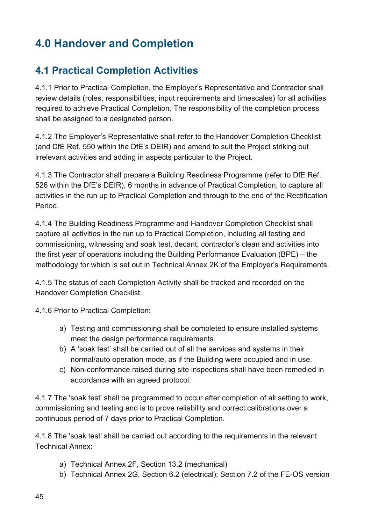# <span id="page-44-0"></span>**4.0 Handover and Completion**

## <span id="page-44-1"></span>**4.1 Practical Completion Activities**

4.1.1 Prior to Practical Completion, the Employer's Representative and Contractor shall review details (roles, responsibilities, input requirements and timescales) for all activities required to achieve Practical Completion. The responsibility of the completion process shall be assigned to a designated person.

4.1.2 The Employer's Representative shall refer to the Handover Completion Checklist (and DfE Ref. 550 within the DfE's DEIR) and amend to suit the Project striking out irrelevant activities and adding in aspects particular to the Project.

4.1.3 The Contractor shall prepare a Building Readiness Programme (refer to DfE Ref. 526 within the DfE's DEIR), 6 months in advance of Practical Completion, to capture all activities in the run up to Practical Completion and through to the end of the Rectification Period.

4.1.4 The Building Readiness Programme and Handover Completion Checklist shall capture all activities in the run up to Practical Completion, including all testing and commissioning, witnessing and soak test, decant, contractor's clean and activities into the first year of operations including the Building Performance Evaluation (BPE) – the methodology for which is set out in Technical Annex 2K of the Employer's Requirements.

4.1.5 The status of each Completion Activity shall be tracked and recorded on the Handover Completion Checklist.

4.1.6 Prior to Practical Completion:

- a) Testing and commissioning shall be completed to ensure installed systems meet the design performance requirements.
- b) A 'soak test' shall be carried out of all the services and systems in their normal/auto operation mode, as if the Building were occupied and in use.
- c) Non-conformance raised during site inspections shall have been remedied in accordance with an agreed protocol.

4.1.7 The 'soak test' shall be programmed to occur after completion of all setting to work, commissioning and testing and is to prove reliability and correct calibrations over a continuous period of 7 days prior to Practical Completion.

4.1.8 The 'soak test' shall be carried out according to the requirements in the relevant Technical Annex:

- a) Technical Annex 2F, Section 13.2 (mechanical)
- b) Technical Annex 2G, Section 6.2 (electrical); Section 7.2 of the FE-OS version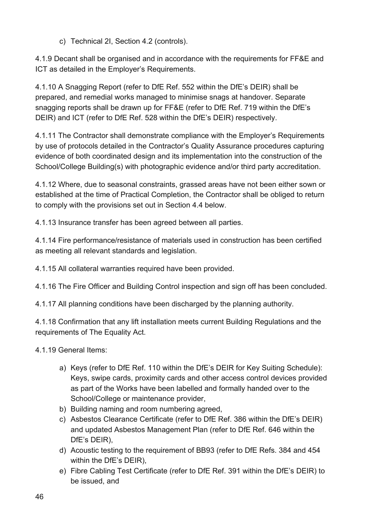c) Technical 2I, Section 4.2 (controls).

4.1.9 Decant shall be organised and in accordance with the requirements for FF&E and ICT as detailed in the Employer's Requirements.

4.1.10 A Snagging Report (refer to DfE Ref. 552 within the DfE's DEIR) shall be prepared, and remedial works managed to minimise snags at handover. Separate snagging reports shall be drawn up for FF&E (refer to DfE Ref. 719 within the DfE's DEIR) and ICT (refer to DfE Ref. 528 within the DfE's DEIR) respectively.

4.1.11 The Contractor shall demonstrate compliance with the Employer's Requirements by use of protocols detailed in the Contractor's Quality Assurance procedures capturing evidence of both coordinated design and its implementation into the construction of the School/College Building(s) with photographic evidence and/or third party accreditation.

4.1.12 Where, due to seasonal constraints, grassed areas have not been either sown or established at the time of Practical Completion, the Contractor shall be obliged to return to comply with the provisions set out in Section 4.4 below.

4.1.13 Insurance transfer has been agreed between all parties.

4.1.14 Fire performance/resistance of materials used in construction has been certified as meeting all relevant standards and legislation.

4.1.15 All collateral warranties required have been provided.

4.1.16 The Fire Officer and Building Control inspection and sign off has been concluded.

4.1.17 All planning conditions have been discharged by the planning authority.

4.1.18 Confirmation that any lift installation meets current Building Regulations and the requirements of The Equality Act.

4.1.19 General Items:

- a) Keys (refer to DfE Ref. 110 within the DfE's DEIR for Key Suiting Schedule): Keys, swipe cards, proximity cards and other access control devices provided as part of the Works have been labelled and formally handed over to the School/College or maintenance provider,
- b) Building naming and room numbering agreed,
- c) Asbestos Clearance Certificate (refer to DfE Ref. 386 within the DfE's DEIR) and updated Asbestos Management Plan (refer to DfE Ref. 646 within the DfE's DEIR),
- d) Acoustic testing to the requirement of BB93 (refer to DfE Refs. 384 and 454 within the DfE's DEIR),
- e) Fibre Cabling Test Certificate (refer to DfE Ref. 391 within the DfE's DEIR) to be issued, and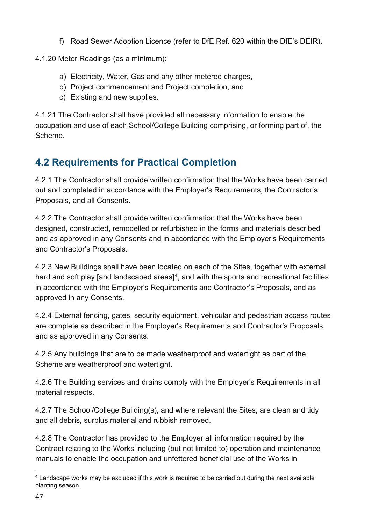f) Road Sewer Adoption Licence (refer to DfE Ref. 620 within the DfE's DEIR).

4.1.20 Meter Readings (as a minimum):

- a) Electricity, Water, Gas and any other metered charges,
- b) Project commencement and Project completion, and
- c) Existing and new supplies.

4.1.21 The Contractor shall have provided all necessary information to enable the occupation and use of each School/College Building comprising, or forming part of, the Scheme.

## <span id="page-46-0"></span>**4.2 Requirements for Practical Completion**

4.2.1 The Contractor shall provide written confirmation that the Works have been carried out and completed in accordance with the Employer's Requirements, the Contractor's Proposals, and all Consents.

4.2.2 The Contractor shall provide written confirmation that the Works have been designed, constructed, remodelled or refurbished in the forms and materials described and as approved in any Consents and in accordance with the Employer's Requirements and Contractor's Proposals.

4.2.3 New Buildings shall have been located on each of the Sites, together with external hard and soft play [and landscaped areas] $4$ , and with the sports and recreational facilities in accordance with the Employer's Requirements and Contractor's Proposals, and as approved in any Consents.

4.2.4 External fencing, gates, security equipment, vehicular and pedestrian access routes are complete as described in the Employer's Requirements and Contractor's Proposals, and as approved in any Consents.

4.2.5 Any buildings that are to be made weatherproof and watertight as part of the Scheme are weatherproof and watertight.

4.2.6 The Building services and drains comply with the Employer's Requirements in all material respects.

4.2.7 The School/College Building(s), and where relevant the Sites, are clean and tidy and all debris, surplus material and rubbish removed.

4.2.8 The Contractor has provided to the Employer all information required by the Contract relating to the Works including (but not limited to) operation and maintenance manuals to enable the occupation and unfettered beneficial use of the Works in

<span id="page-46-1"></span><sup>4</sup> Landscape works may be excluded if this work is required to be carried out during the next available planting season.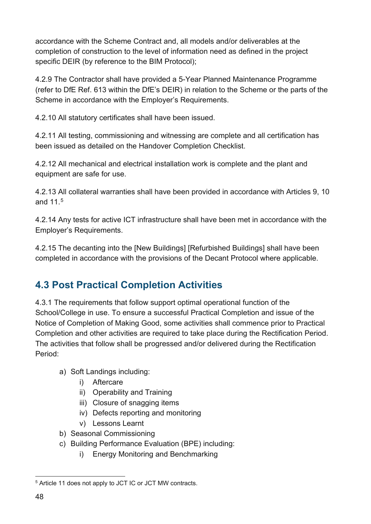accordance with the Scheme Contract and, all models and/or deliverables at the completion of construction to the level of information need as defined in the project specific DEIR (by reference to the BIM Protocol);

4.2.9 The Contractor shall have provided a 5-Year Planned Maintenance Programme (refer to DfE Ref. 613 within the DfE's DEIR) in relation to the Scheme or the parts of the Scheme in accordance with the Employer's Requirements.

4.2.10 All statutory certificates shall have been issued.

4.2.11 All testing, commissioning and witnessing are complete and all certification has been issued as detailed on the Handover Completion Checklist.

4.2.12 All mechanical and electrical installation work is complete and the plant and equipment are safe for use.

4.2.13 All collateral warranties shall have been provided in accordance with Articles 9, 10 and 11. [5](#page-47-1) 

4.2.14 Any tests for active ICT infrastructure shall have been met in accordance with the Employer's Requirements.

4.2.15 The decanting into the [New Buildings] [Refurbished Buildings] shall have been completed in accordance with the provisions of the Decant Protocol where applicable.

## <span id="page-47-0"></span>**4.3 Post Practical Completion Activities**

4.3.1 The requirements that follow support optimal operational function of the School/College in use. To ensure a successful Practical Completion and issue of the Notice of Completion of Making Good, some activities shall commence prior to Practical Completion and other activities are required to take place during the Rectification Period. The activities that follow shall be progressed and/or delivered during the Rectification Period:

- a) Soft Landings including:
	- i) Aftercare
	- ii) Operability and Training
	- iii) Closure of snagging items
	- iv) Defects reporting and monitoring
	- v) Lessons Learnt
- b) Seasonal Commissioning
- c) Building Performance Evaluation (BPE) including:
	- i) Energy Monitoring and Benchmarking

<span id="page-47-1"></span><sup>5</sup> Article 11 does not apply to JCT IC or JCT MW contracts.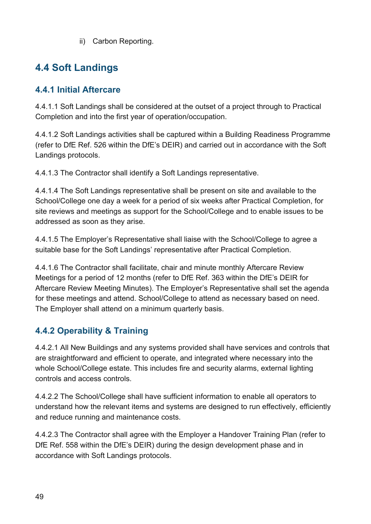ii) Carbon Reporting.

## <span id="page-48-0"></span>**4.4 Soft Landings**

#### <span id="page-48-1"></span>**4.4.1 Initial Aftercare**

4.4.1.1 Soft Landings shall be considered at the outset of a project through to Practical Completion and into the first year of operation/occupation.

4.4.1.2 Soft Landings activities shall be captured within a Building Readiness Programme (refer to DfE Ref. 526 within the DfE's DEIR) and carried out in accordance with the Soft Landings protocols.

4.4.1.3 The Contractor shall identify a Soft Landings representative.

4.4.1.4 The Soft Landings representative shall be present on site and available to the School/College one day a week for a period of six weeks after Practical Completion, for site reviews and meetings as support for the School/College and to enable issues to be addressed as soon as they arise.

4.4.1.5 The Employer's Representative shall liaise with the School/College to agree a suitable base for the Soft Landings' representative after Practical Completion.

4.4.1.6 The Contractor shall facilitate, chair and minute monthly Aftercare Review Meetings for a period of 12 months (refer to DfE Ref. 363 within the DfE's DEIR for Aftercare Review Meeting Minutes). The Employer's Representative shall set the agenda for these meetings and attend. School/College to attend as necessary based on need. The Employer shall attend on a minimum quarterly basis.

#### <span id="page-48-2"></span>**4.4.2 Operability & Training**

4.4.2.1 All New Buildings and any systems provided shall have services and controls that are straightforward and efficient to operate, and integrated where necessary into the whole School/College estate. This includes fire and security alarms, external lighting controls and access controls.

4.4.2.2 The School/College shall have sufficient information to enable all operators to understand how the relevant items and systems are designed to run effectively, efficiently and reduce running and maintenance costs.

4.4.2.3 The Contractor shall agree with the Employer a Handover Training Plan (refer to DfE Ref. 558 within the DfE's DEIR) during the design development phase and in accordance with Soft Landings protocols.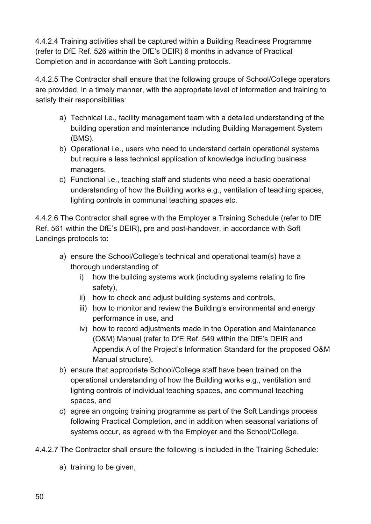4.4.2.4 Training activities shall be captured within a Building Readiness Programme (refer to DfE Ref. 526 within the DfE's DEIR) 6 months in advance of Practical Completion and in accordance with Soft Landing protocols.

4.4.2.5 The Contractor shall ensure that the following groups of School/College operators are provided, in a timely manner, with the appropriate level of information and training to satisfy their responsibilities:

- a) Technical i.e., facility management team with a detailed understanding of the building operation and maintenance including Building Management System (BMS).
- b) Operational i.e., users who need to understand certain operational systems but require a less technical application of knowledge including business managers.
- c) Functional i.e., teaching staff and students who need a basic operational understanding of how the Building works e.g., ventilation of teaching spaces, lighting controls in communal teaching spaces etc.

4.4.2.6 The Contractor shall agree with the Employer a Training Schedule (refer to DfE Ref. 561 within the DfE's DEIR), pre and post-handover, in accordance with Soft Landings protocols to:

- a) ensure the School/College's technical and operational team(s) have a thorough understanding of:
	- i) how the building systems work (including systems relating to fire safety),
	- ii) how to check and adjust building systems and controls,
	- iii) how to monitor and review the Building's environmental and energy performance in use, and
	- iv) how to record adjustments made in the Operation and Maintenance (O&M) Manual (refer to DfE Ref. 549 within the DfE's DEIR and Appendix A of the Project's Information Standard for the proposed O&M Manual structure).
- b) ensure that appropriate School/College staff have been trained on the operational understanding of how the Building works e.g., ventilation and lighting controls of individual teaching spaces, and communal teaching spaces, and
- c) agree an ongoing training programme as part of the Soft Landings process following Practical Completion, and in addition when seasonal variations of systems occur, as agreed with the Employer and the School/College.
- 4.4.2.7 The Contractor shall ensure the following is included in the Training Schedule:
	- a) training to be given,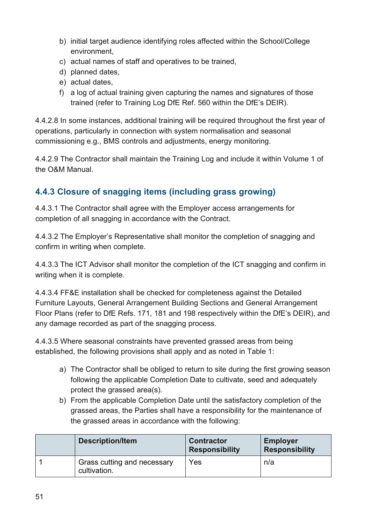- b) initial target audience identifying roles affected within the School/College environment,
- c) actual names of staff and operatives to be trained,
- d) planned dates,
- e) actual dates,
- f) a log of actual training given capturing the names and signatures of those trained (refer to Training Log DfE Ref. 560 within the DfE's DEIR).

4.4.2.8 In some instances, additional training will be required throughout the first year of operations, particularly in connection with system normalisation and seasonal commissioning e.g., BMS controls and adjustments, energy monitoring.

4.4.2.9 The Contractor shall maintain the Training Log and include it within Volume 1 of the O&M Manual.

#### <span id="page-50-0"></span>**4.4.3 Closure of snagging items (including grass growing)**

4.4.3.1 The Contractor shall agree with the Employer access arrangements for completion of all snagging in accordance with the Contract.

4.4.3.2 The Employer's Representative shall monitor the completion of snagging and confirm in writing when complete.

4.4.3.3 The ICT Advisor shall monitor the completion of the ICT snagging and confirm in writing when it is complete.

4.4.3.4 FF&E installation shall be checked for completeness against the Detailed Furniture Layouts, General Arrangement Building Sections and General Arrangement Floor Plans (refer to DfE Refs. 171, 181 and 198 respectively within the DfE's DEIR), and any damage recorded as part of the snagging process.

4.4.3.5 Where seasonal constraints have prevented grassed areas from being established, the following provisions shall apply and as noted in Table 1:

- a) The Contractor shall be obliged to return to site during the first growing season following the applicable Completion Date to cultivate, seed and adequately protect the grassed area(s).
- b) From the applicable Completion Date until the satisfactory completion of the grassed areas, the Parties shall have a responsibility for the maintenance of the grassed areas in accordance with the following:

| <b>Description/Item</b>                     | <b>Contractor</b><br><b>Responsibility</b> | <b>Employer</b><br><b>Responsibility</b> |
|---------------------------------------------|--------------------------------------------|------------------------------------------|
| Grass cutting and necessary<br>cultivation. | Yes                                        | n/a                                      |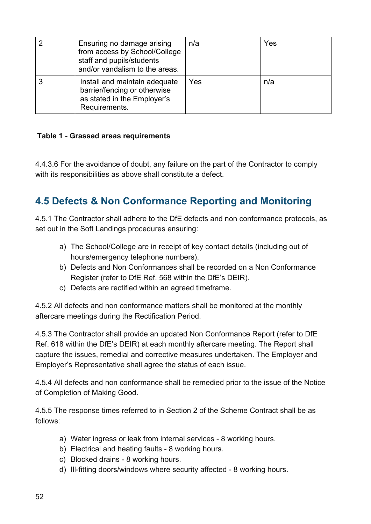| Ensuring no damage arising<br>from access by School/College<br>staff and pupils/students<br>and/or vandalism to the areas. | n/a | Yes |
|----------------------------------------------------------------------------------------------------------------------------|-----|-----|
| Install and maintain adequate<br>barrier/fencing or otherwise<br>as stated in the Employer's<br>Requirements.              | Yes | n/a |

#### <span id="page-51-1"></span>**Table 1 - Grassed areas requirements**

4.4.3.6 For the avoidance of doubt, any failure on the part of the Contractor to comply with its responsibilities as above shall constitute a defect.

## <span id="page-51-0"></span>**4.5 Defects & Non Conformance Reporting and Monitoring**

4.5.1 The Contractor shall adhere to the DfE defects and non conformance protocols, as set out in the Soft Landings procedures ensuring:

- a) The School/College are in receipt of key contact details (including out of hours/emergency telephone numbers).
- b) Defects and Non Conformances shall be recorded on a Non Conformance Register (refer to DfE Ref. 568 within the DfE's DEIR).
- c) Defects are rectified within an agreed timeframe.

4.5.2 All defects and non conformance matters shall be monitored at the monthly aftercare meetings during the Rectification Period.

4.5.3 The Contractor shall provide an updated Non Conformance Report (refer to DfE Ref. 618 within the DfE's DEIR) at each monthly aftercare meeting. The Report shall capture the issues, remedial and corrective measures undertaken. The Employer and Employer's Representative shall agree the status of each issue.

4.5.4 All defects and non conformance shall be remedied prior to the issue of the Notice of Completion of Making Good.

4.5.5 The response times referred to in Section 2 of the Scheme Contract shall be as follows:

- a) Water ingress or leak from internal services 8 working hours.
- b) Electrical and heating faults 8 working hours.
- c) Blocked drains 8 working hours.
- d) Ill-fitting doors/windows where security affected 8 working hours.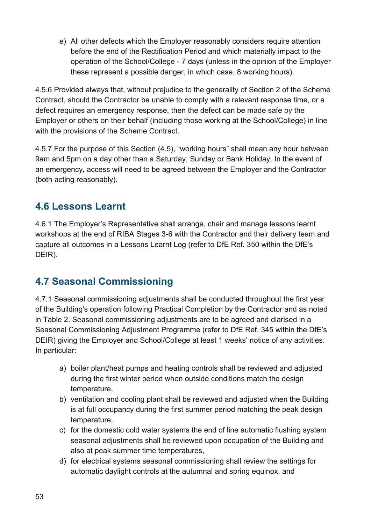e) All other defects which the Employer reasonably considers require attention before the end of the Rectification Period and which materially impact to the operation of the School/College - 7 days (unless in the opinion of the Employer these represent a possible danger, in which case, 8 working hours).

4.5.6 Provided always that, without prejudice to the generality of Section 2 of the Scheme Contract, should the Contractor be unable to comply with a relevant response time, or a defect requires an emergency response, then the defect can be made safe by the Employer or others on their behalf (including those working at the School/College) in line with the provisions of the Scheme Contract.

4.5.7 For the purpose of this Section (4.5), "working hours" shall mean any hour between 9am and 5pm on a day other than a Saturday, Sunday or Bank Holiday. In the event of an emergency, access will need to be agreed between the Employer and the Contractor (both acting reasonably).

## <span id="page-52-0"></span>**4.6 Lessons Learnt**

4.6.1 The Employer's Representative shall arrange, chair and manage lessons learnt workshops at the end of RIBA Stages 3-6 with the Contractor and their delivery team and capture all outcomes in a Lessons Learnt Log (refer to DfE Ref. 350 within the DfE's DEIR).

# <span id="page-52-1"></span>**4.7 Seasonal Commissioning**

4.7.1 Seasonal commissioning adjustments shall be conducted throughout the first year of the Building's operation following Practical Completion by the Contractor and as noted in Table 2. Seasonal commissioning adjustments are to be agreed and diarised in a Seasonal Commissioning Adjustment Programme (refer to DfE Ref. 345 within the DfE's DEIR) giving the Employer and School/College at least 1 weeks' notice of any activities. In particular:

- a) boiler plant/heat pumps and heating controls shall be reviewed and adjusted during the first winter period when outside conditions match the design temperature,
- b) ventilation and cooling plant shall be reviewed and adjusted when the Building is at full occupancy during the first summer period matching the peak design temperature,
- c) for the domestic cold water systems the end of line automatic flushing system seasonal adjustments shall be reviewed upon occupation of the Building and also at peak summer time temperatures,
- d) for electrical systems seasonal commissioning shall review the settings for automatic daylight controls at the autumnal and spring equinox, and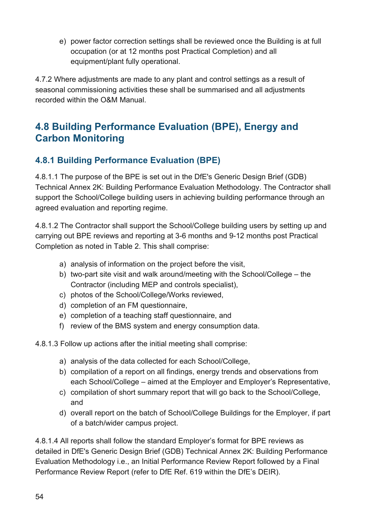e) power factor correction settings shall be reviewed once the Building is at full occupation (or at 12 months post Practical Completion) and all equipment/plant fully operational.

4.7.2 Where adjustments are made to any plant and control settings as a result of seasonal commissioning activities these shall be summarised and all adjustments recorded within the O&M Manual.

## <span id="page-53-0"></span>**4.8 Building Performance Evaluation (BPE), Energy and Carbon Monitoring**

#### <span id="page-53-1"></span>**4.8.1 Building Performance Evaluation (BPE)**

4.8.1.1 The purpose of the BPE is set out in the DfE's Generic Design Brief (GDB) Technical Annex 2K: Building Performance Evaluation Methodology. The Contractor shall support the School/College building users in achieving building performance through an agreed evaluation and reporting regime.

4.8.1.2 The Contractor shall support the School/College building users by setting up and carrying out BPE reviews and reporting at 3-6 months and 9-12 months post Practical Completion as noted in Table 2. This shall comprise:

- a) analysis of information on the project before the visit,
- b) two-part site visit and walk around/meeting with the School/College the Contractor (including MEP and controls specialist),
- c) photos of the School/College/Works reviewed,
- d) completion of an FM questionnaire,
- e) completion of a teaching staff questionnaire, and
- f) review of the BMS system and energy consumption data.

4.8.1.3 Follow up actions after the initial meeting shall comprise:

- a) analysis of the data collected for each School/College,
- b) compilation of a report on all findings, energy trends and observations from each School/College – aimed at the Employer and Employer's Representative,
- c) compilation of short summary report that will go back to the School/College, and
- d) overall report on the batch of School/College Buildings for the Employer, if part of a batch/wider campus project.

4.8.1.4 All reports shall follow the standard Employer's format for BPE reviews as detailed in DfE's Generic Design Brief (GDB) Technical Annex 2K: Building Performance Evaluation Methodology i.e., an Initial Performance Review Report followed by a Final Performance Review Report (refer to DfE Ref. 619 within the DfE's DEIR).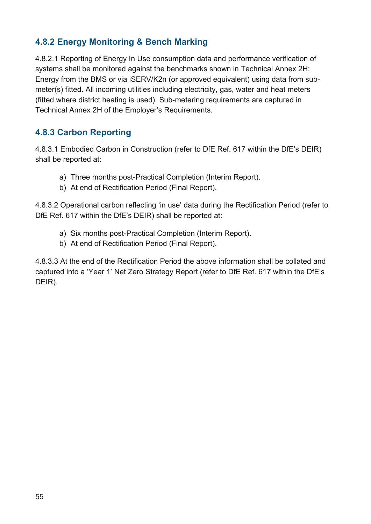#### <span id="page-54-0"></span>**4.8.2 Energy Monitoring & Bench Marking**

4.8.2.1 Reporting of Energy In Use consumption data and performance verification of systems shall be monitored against the benchmarks shown in Technical Annex 2H: Energy from the BMS or via iSERV/K2n (or approved equivalent) using data from submeter(s) fitted. All incoming utilities including electricity, gas, water and heat meters (fitted where district heating is used). Sub-metering requirements are captured in Technical Annex 2H of the Employer's Requirements.

#### <span id="page-54-1"></span>**4.8.3 Carbon Reporting**

4.8.3.1 Embodied Carbon in Construction (refer to DfE Ref. 617 within the DfE's DEIR) shall be reported at:

- a) Three months post-Practical Completion (Interim Report).
- b) At end of Rectification Period (Final Report).

4.8.3.2 Operational carbon reflecting 'in use' data during the Rectification Period (refer to DfE Ref. 617 within the DfE's DEIR) shall be reported at:

- a) Six months post-Practical Completion (Interim Report).
- b) At end of Rectification Period (Final Report).

4.8.3.3 At the end of the Rectification Period the above information shall be collated and captured into a 'Year 1' Net Zero Strategy Report (refer to DfE Ref. 617 within the DfE's DEIR).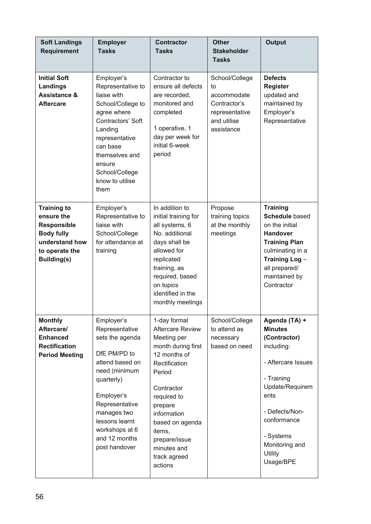| <b>Soft Landings</b><br><b>Requirement</b>                                                                                            | <b>Employer</b><br><b>Tasks</b>                                                                                                                                                                                                        | <b>Contractor</b><br><b>Tasks</b>                                                                                                                                                                                                                                      | <b>Other</b><br><b>Stakeholder</b><br><b>Tasks</b>                                                 | <b>Output</b>                                                                                                                                                                                                        |
|---------------------------------------------------------------------------------------------------------------------------------------|----------------------------------------------------------------------------------------------------------------------------------------------------------------------------------------------------------------------------------------|------------------------------------------------------------------------------------------------------------------------------------------------------------------------------------------------------------------------------------------------------------------------|----------------------------------------------------------------------------------------------------|----------------------------------------------------------------------------------------------------------------------------------------------------------------------------------------------------------------------|
| <b>Initial Soft</b><br><b>Landings</b><br><b>Assistance &amp;</b><br><b>Aftercare</b>                                                 | Employer's<br>Representative to<br>liaise with<br>School/College to<br>agree where<br>Contractors' Soft<br>Landing<br>representative<br>can base<br>themselves and<br>ensure<br>School/College<br>know to utilise<br>them              | Contractor to<br>ensure all defects<br>are recorded,<br>monitored and<br>completed<br>1 operative, 1<br>day per week for<br>initial 6-week<br>period                                                                                                                   | School/College<br>to<br>accommodate<br>Contractor's<br>representative<br>and utilise<br>assistance | <b>Defects</b><br><b>Register</b><br>updated and<br>maintained by<br>Employer's<br>Representative                                                                                                                    |
| <b>Training to</b><br>ensure the<br><b>Responsible</b><br><b>Body fully</b><br>understand how<br>to operate the<br><b>Building(s)</b> | Employer's<br>Representative to<br>liaise with<br>School/College<br>for attendance at<br>training                                                                                                                                      | In addition to<br>initial training for<br>all systems, 6<br>No. additional<br>days shall be<br>allowed for<br>replicated<br>training, as<br>required, based<br>on topics<br>identified in the<br>monthly meetings                                                      | Propose<br>training topics<br>at the monthly<br>meetings                                           | <b>Training</b><br><b>Schedule based</b><br>on the initial<br><b>Handover</b><br><b>Training Plan</b><br>culminating in a<br>Training Log-<br>all prepared/<br>maintained by<br>Contractor                           |
| <b>Monthly</b><br>Aftercare/<br><b>Enhanced</b><br><b>Rectification</b><br><b>Period Meeting</b>                                      | Employer's<br>Representative<br>sets the agenda<br>DfE PM/PD to<br>attend based on<br>need (minimum<br>quarterly)<br>Employer's<br>Representative<br>manages two<br>lessons learnt<br>workshops at 6<br>and 12 months<br>post handover | 1-day formal<br><b>Aftercare Review</b><br>Meeting per<br>month during first<br>12 months of<br>Rectification<br>Period<br>Contractor<br>required to<br>prepare<br>information<br>based on agenda<br>items,<br>prepare/issue<br>minutes and<br>track agreed<br>actions | School/College<br>to attend as<br>necessary<br>based on need                                       | Agenda (TA) +<br><b>Minutes</b><br>(Contractor)<br>including:<br>- Aftercare Issues<br>- Training<br>Update/Requirem<br>ents<br>- Defects/Non-<br>conformance<br>- Systems<br>Monitoring and<br>Utility<br>Usage/BPE |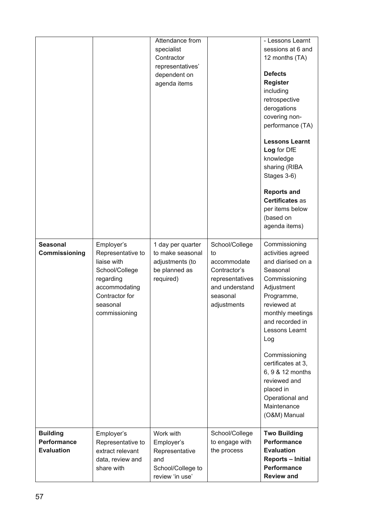|                                                            |                                                                                                                                               | Attendance from<br>specialist<br>Contractor<br>representatives'<br>dependent on<br>agenda items |                                                                                                                     | - Lessons Learnt<br>sessions at 6 and<br>12 months (TA)<br><b>Defects</b><br><b>Register</b><br>including<br>retrospective<br>derogations<br>covering non-<br>performance (TA)<br><b>Lessons Learnt</b><br>Log for DfE<br>knowledge<br>sharing (RIBA<br>Stages 3-6)<br><b>Reports and</b><br>Certificates as<br>per items below<br>(based on<br>agenda items) |
|------------------------------------------------------------|-----------------------------------------------------------------------------------------------------------------------------------------------|-------------------------------------------------------------------------------------------------|---------------------------------------------------------------------------------------------------------------------|---------------------------------------------------------------------------------------------------------------------------------------------------------------------------------------------------------------------------------------------------------------------------------------------------------------------------------------------------------------|
| <b>Seasonal</b><br>Commissioning                           | Employer's<br>Representative to<br>liaise with<br>School/College<br>regarding<br>accommodating<br>Contractor for<br>seasonal<br>commissioning | 1 day per quarter<br>to make seasonal<br>adjustments (to<br>be planned as<br>required)          | School/College<br>to<br>accommodate<br>Contractor's<br>representatives<br>and understand<br>seasonal<br>adjustments | Commissioning<br>activities agreed<br>and diarised on a<br>Seasonal<br>Commissioning<br>Adjustment<br>Programme,<br>reviewed at<br>monthly meetings<br>and recorded in<br>Lessons Learnt<br>Log<br>Commissioning<br>certificates at 3,<br>6, 9 & 12 months<br>reviewed and<br>placed in<br>Operational and<br>Maintenance<br>(O&M) Manual                     |
| <b>Building</b><br><b>Performance</b><br><b>Evaluation</b> | Employer's<br>Representative to<br>extract relevant<br>data, review and<br>share with                                                         | Work with<br>Employer's<br>Representative<br>and<br>School/College to<br>review 'in use'        | School/College<br>to engage with<br>the process                                                                     | <b>Two Building</b><br><b>Performance</b><br><b>Evaluation</b><br><b>Reports - Initial</b><br><b>Performance</b><br><b>Review and</b>                                                                                                                                                                                                                         |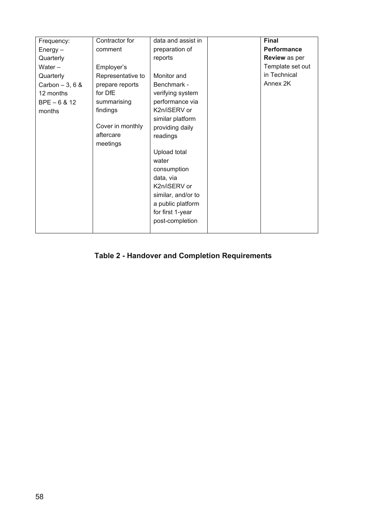| Frequency:       | Contractor for    | data and assist in | <b>Final</b>         |
|------------------|-------------------|--------------------|----------------------|
| $Energy -$       | comment           | preparation of     | Performance          |
| Quarterly        |                   | reports            | <b>Review</b> as per |
| Water $-$        | Employer's        |                    | Template set out     |
| Quarterly        | Representative to | Monitor and        | in Technical         |
| Carbon $-3, 6$ & | prepare reports   | Benchmark -        | Annex 2K             |
| 12 months        | for DfE           | verifying system   |                      |
| $BPE - 6 & 12$   | summarising       | performance via    |                      |
| months           | findings          | K2n/iSERV or       |                      |
|                  |                   | similar platform   |                      |
|                  | Cover in monthly  | providing daily    |                      |
|                  | aftercare         | readings           |                      |
|                  | meetings          |                    |                      |
|                  |                   | Upload total       |                      |
|                  |                   | water              |                      |
|                  |                   | consumption        |                      |
|                  |                   | data, via          |                      |
|                  |                   | K2n/iSERV or       |                      |
|                  |                   | similar, and/or to |                      |
|                  |                   | a public platform  |                      |
|                  |                   | for first 1-year   |                      |
|                  |                   | post-completion    |                      |
|                  |                   |                    |                      |

#### <span id="page-57-0"></span>**Table 2 - Handover and Completion Requirements**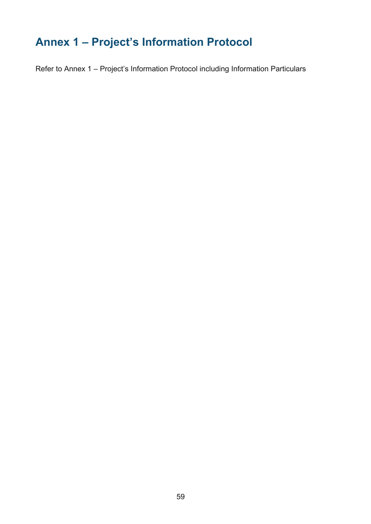# <span id="page-58-0"></span>**Annex 1 – Project's Information Protocol**

Refer to Annex 1 – Project's Information Protocol including Information Particulars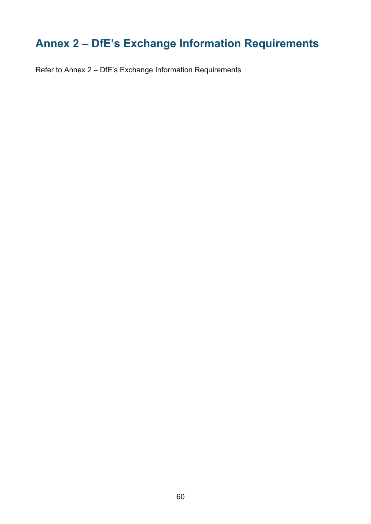# <span id="page-59-0"></span>**Annex 2 – DfE's Exchange Information Requirements**

Refer to Annex 2 – DfE's Exchange Information Requirements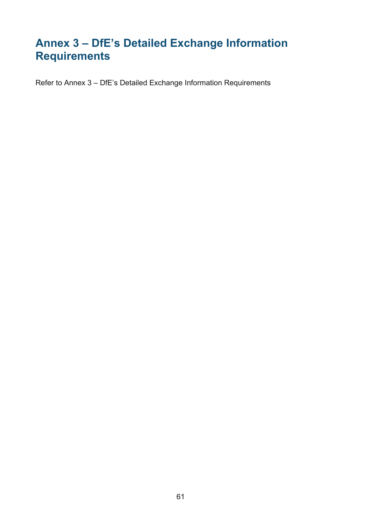# <span id="page-60-0"></span>**Annex 3 – DfE's Detailed Exchange Information Requirements**

Refer to Annex 3 – DfE's Detailed Exchange Information Requirements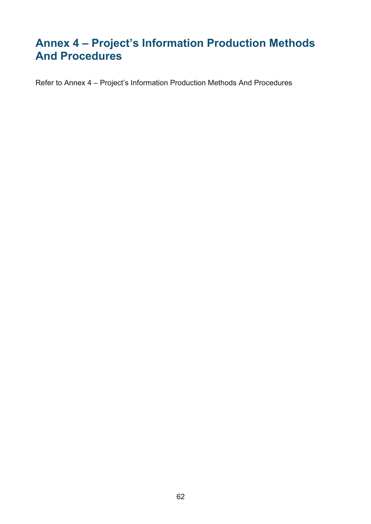# <span id="page-61-0"></span>**Annex 4 – Project's Information Production Methods And Procedures**

Refer to Annex 4 – Project's Information Production Methods And Procedures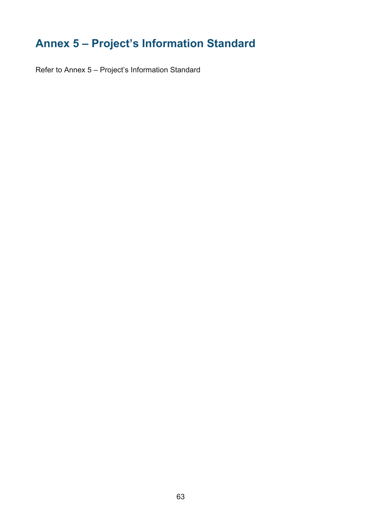# <span id="page-62-0"></span>**Annex 5 – Project's Information Standard**

Refer to Annex 5 – Project's Information Standard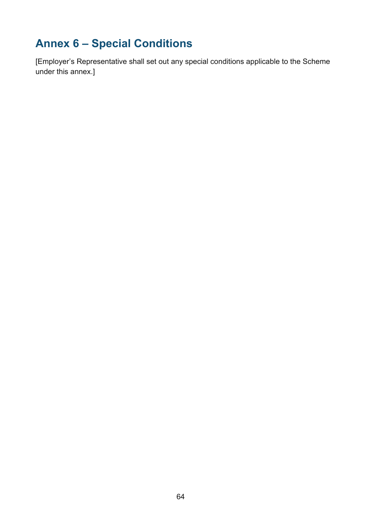# <span id="page-63-0"></span>**Annex 6 – Special Conditions**

[Employer's Representative shall set out any special conditions applicable to the Scheme under this annex.]